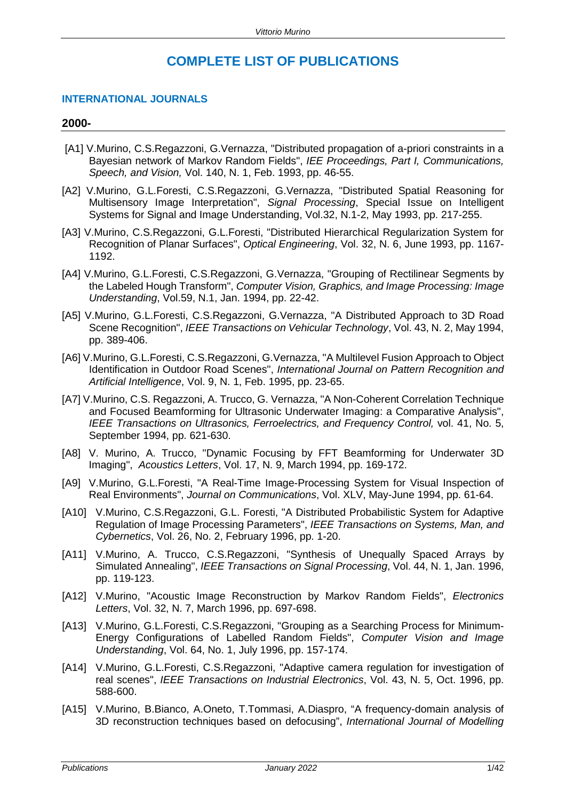# **COMPLETE LIST OF PUBLICATIONS**

# **INTERNATIONAL JOURNALS**

#### **2000-**

- [A1] V.Murino, C.S.Regazzoni, G.Vernazza, "Distributed propagation of a-priori constraints in a Bayesian network of Markov Random Fields", *IEE Proceedings, Part I, Communications, Speech, and Vision,* Vol. 140, N. 1, Feb. 1993, pp. 46-55.
- [A2] V.Murino, G.L.Foresti, C.S.Regazzoni, G.Vernazza, "Distributed Spatial Reasoning for Multisensory Image Interpretation", *Signal Processing*, Special Issue on Intelligent Systems for Signal and Image Understanding, Vol.32, N.1-2, May 1993, pp. 217-255.
- [A3] V.Murino, C.S.Regazzoni, G.L.Foresti, "Distributed Hierarchical Regularization System for Recognition of Planar Surfaces", *Optical Engineering*, Vol. 32, N. 6, June 1993, pp. 1167- 1192.
- [A4] V.Murino, G.L.Foresti, C.S.Regazzoni, G.Vernazza, "Grouping of Rectilinear Segments by the Labeled Hough Transform", *Computer Vision, Graphics, and Image Processing: Image Understanding*, Vol.59, N.1, Jan. 1994, pp. 22-42.
- [A5] V.Murino, G.L.Foresti, C.S.Regazzoni, G.Vernazza, "A Distributed Approach to 3D Road Scene Recognition", *IEEE Transactions on Vehicular Technology*, Vol. 43, N. 2, May 1994, pp. 389-406.
- [A6] V.Murino, G.L.Foresti, C.S.Regazzoni, G.Vernazza, "A Multilevel Fusion Approach to Object Identification in Outdoor Road Scenes", *International Journal on Pattern Recognition and Artificial Intelligence*, Vol. 9, N. 1, Feb. 1995, pp. 23-65.
- [A7] V.Murino, C.S. Regazzoni, A. Trucco, G. Vernazza, "A Non-Coherent Correlation Technique and Focused Beamforming for Ultrasonic Underwater Imaging: a Comparative Analysis", *IEEE Transactions on Ultrasonics, Ferroelectrics, and Frequency Control, vol. 41, No. 5,* September 1994, pp. 621-630.
- [A8] V. Murino, A. Trucco, "Dynamic Focusing by FFT Beamforming for Underwater 3D Imaging", *Acoustics Letters*, Vol. 17, N. 9, March 1994, pp. 169-172.
- [A9] V.Murino, G.L.Foresti, "A Real-Time Image-Processing System for Visual Inspection of Real Environments", *Journal on Communications*, Vol. XLV, May-June 1994, pp. 61-64.
- [A10] V.Murino, C.S.Regazzoni, G.L. Foresti, "A Distributed Probabilistic System for Adaptive Regulation of Image Processing Parameters", *IEEE Transactions on Systems, Man, and Cybernetics*, Vol. 26, No. 2, February 1996, pp. 1-20.
- [A11] V.Murino, A. Trucco, C.S.Regazzoni, "Synthesis of Unequally Spaced Arrays by Simulated Annealing", *IEEE Transactions on Signal Processing*, Vol. 44, N. 1, Jan. 1996, pp. 119-123.
- [A12] V.Murino, "Acoustic Image Reconstruction by Markov Random Fields", *Electronics Letters*, Vol. 32, N. 7, March 1996, pp. 697-698.
- [A13] V.Murino, G.L.Foresti, C.S.Regazzoni, "Grouping as a Searching Process for Minimum-Energy Configurations of Labelled Random Fields", *Computer Vision and Image Understanding*, Vol. 64, No. 1, July 1996, pp. 157-174.
- [A14] V.Murino, G.L.Foresti, C.S.Regazzoni, "Adaptive camera regulation for investigation of real scenes", *IEEE Transactions on Industrial Electronics*, Vol. 43, N. 5, Oct. 1996, pp. 588-600.
- [A15] V.Murino, B.Bianco, A.Oneto, T.Tommasi, A.Diaspro, "A frequency-domain analysis of 3D reconstruction techniques based on defocusing", *International Journal of Modelling*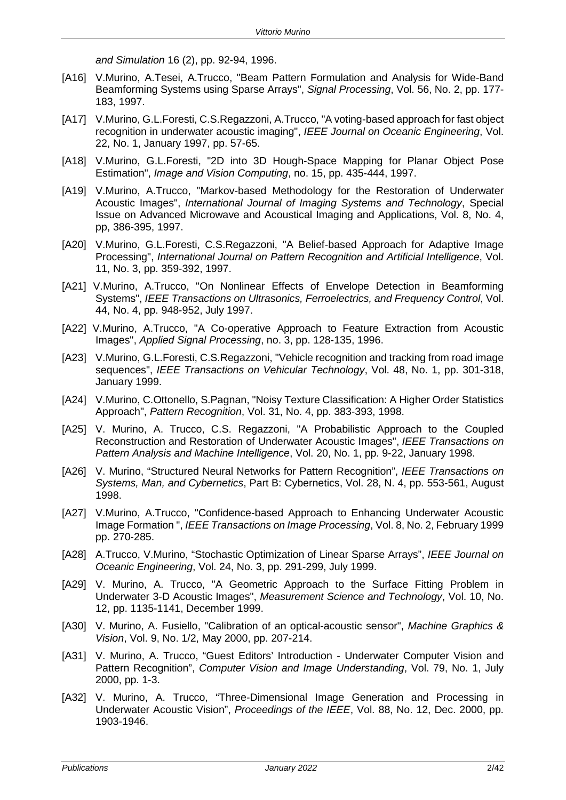*and Simulation* 16 (2), pp. 92-94, 1996.

- [A16] V.Murino, A.Tesei, A.Trucco, "Beam Pattern Formulation and Analysis for Wide-Band Beamforming Systems using Sparse Arrays", *Signal Processing*, Vol. 56, No. 2, pp. 177- 183, 1997.
- [A17] V.Murino, G.L.Foresti, C.S.Regazzoni, A.Trucco, "A voting-based approach for fast object recognition in underwater acoustic imaging", *IEEE Journal on Oceanic Engineering*, Vol. 22, No. 1, January 1997, pp. 57-65.
- [A18] V.Murino, G.L.Foresti, "2D into 3D Hough-Space Mapping for Planar Object Pose Estimation", *Image and Vision Computing*, no. 15, pp. 435-444, 1997.
- [A19] V.Murino, A.Trucco, "Markov-based Methodology for the Restoration of Underwater Acoustic Images", *International Journal of Imaging Systems and Technology*, Special Issue on Advanced Microwave and Acoustical Imaging and Applications, Vol. 8, No. 4, pp, 386-395, 1997.
- [A20] V.Murino, G.L.Foresti, C.S.Regazzoni, "A Belief-based Approach for Adaptive Image Processing", *International Journal on Pattern Recognition and Artificial Intelligence*, Vol. 11, No. 3, pp. 359-392, 1997.
- [A21] V.Murino, A.Trucco, "On Nonlinear Effects of Envelope Detection in Beamforming Systems", *IEEE Transactions on Ultrasonics, Ferroelectrics, and Frequency Control*, Vol. 44, No. 4, pp. 948-952, July 1997.
- [A22] V.Murino, A.Trucco, "A Co-operative Approach to Feature Extraction from Acoustic Images", *Applied Signal Processing*, no. 3, pp. 128-135, 1996.
- [A23] V.Murino, G.L.Foresti, C.S.Regazzoni, "Vehicle recognition and tracking from road image sequences", *IEEE Transactions on Vehicular Technology*, Vol. 48, No. 1, pp. 301-318, January 1999.
- [A24] V.Murino, C.Ottonello, S.Pagnan, "Noisy Texture Classification: A Higher Order Statistics Approach", *Pattern Recognition*, Vol. 31, No. 4, pp. 383-393, 1998.
- [A25] V. Murino, A. Trucco, C.S. Regazzoni, "A Probabilistic Approach to the Coupled Reconstruction and Restoration of Underwater Acoustic Images", *IEEE Transactions on Pattern Analysis and Machine Intelligence*, Vol. 20, No. 1, pp. 9-22, January 1998.
- [A26] V. Murino, "Structured Neural Networks for Pattern Recognition", *IEEE Transactions on Systems, Man, and Cybernetics*, Part B: Cybernetics, Vol. 28, N. 4, pp. 553-561, August 1998.
- [A27] V.Murino, A.Trucco, "Confidence-based Approach to Enhancing Underwater Acoustic Image Formation ", *IEEE Transactions on Image Processing*, Vol. 8, No. 2, February 1999 pp. 270-285.
- [A28] A.Trucco, V.Murino, "Stochastic Optimization of Linear Sparse Arrays", *IEEE Journal on Oceanic Engineering*, Vol. 24, No. 3, pp. 291-299, July 1999.
- [A29] V. Murino, A. Trucco, "A Geometric Approach to the Surface Fitting Problem in Underwater 3-D Acoustic Images", *Measurement Science and Technology*, Vol. 10, No. 12, pp. 1135-1141, December 1999.
- [A30] V. Murino, A. Fusiello, "Calibration of an optical-acoustic sensor", *Machine Graphics & Vision*, Vol. 9, No. 1/2, May 2000, pp. 207-214.
- [A31] V. Murino, A. Trucco, "Guest Editors' Introduction Underwater Computer Vision and Pattern Recognition", *Computer Vision and Image Understanding*, Vol. 79, No. 1, July 2000, pp. 1-3.
- [A32] V. Murino, A. Trucco, "Three-Dimensional Image Generation and Processing in Underwater Acoustic Vision", *Proceedings of the IEEE*, Vol. 88, No. 12, Dec. 2000, pp. 1903-1946.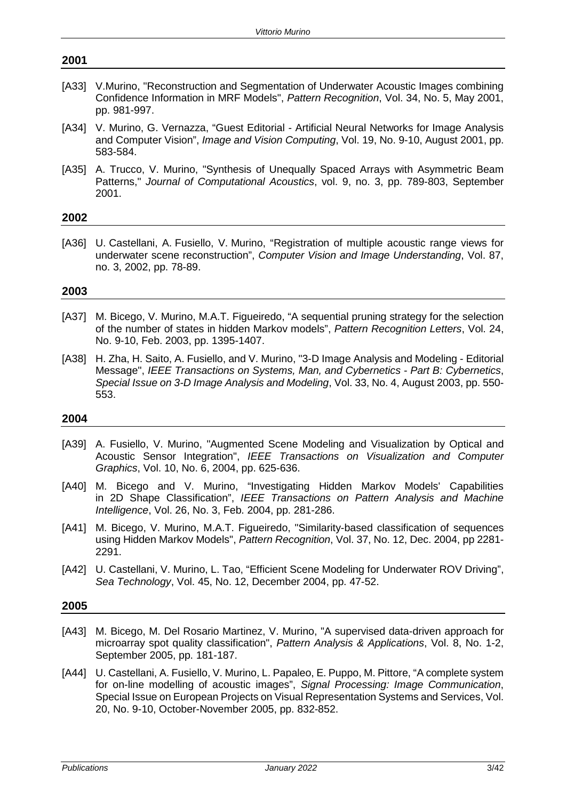# **2001** [A33] V.Murino, "Reconstruction and Segmentation of Underwater Acoustic Images combining Confidence Information in MRF Models", *Pattern Recognition*, Vol. 34, No. 5, May 2001, pp. 981-997.

- [A34] V. Murino, G. Vernazza, "Guest Editorial Artificial Neural Networks for Image Analysis and Computer Vision", *Image and Vision Computing*, Vol. 19, No. 9-10, August 2001, pp. 583-584.
- [A35] A. Trucco, V. Murino, "Synthesis of Unequally Spaced Arrays with Asymmetric Beam Patterns," *Journal of Computational Acoustics*, vol. 9, no. 3, pp. 789-803, September 2001.

# **2002**

[A36] U. Castellani, A. Fusiello, V. Murino, "Registration of multiple acoustic range views for underwater scene reconstruction", *Computer Vision and Image Understanding*, Vol. 87, no. 3, 2002, pp. 78-89.

# **2003**

- [A37] M. Bicego, V. Murino, M.A.T. Figueiredo, "A sequential pruning strategy for the selection of the number of states in hidden Markov models", *Pattern Recognition Letters*, Vol. 24, No. 9-10, Feb. 2003, pp. 1395-1407.
- [A38] H. Zha, H. Saito, A. Fusiello, and V. Murino, "3-D Image Analysis and Modeling Editorial Message", *IEEE Transactions on Systems, Man, and Cybernetics - Part B: Cybernetics*, *Special Issue on 3-D Image Analysis and Modeling*, Vol. 33, No. 4, August 2003, pp. 550- 553.

# **2004**

- [A39] A. Fusiello, V. Murino, "Augmented Scene Modeling and Visualization by Optical and Acoustic Sensor Integration", *IEEE Transactions on Visualization and Computer Graphics*, Vol. 10, No. 6, 2004, pp. 625-636.
- [A40] M. Bicego and V. Murino, "Investigating Hidden Markov Models' Capabilities in 2D Shape Classification", *IEEE Transactions on Pattern Analysis and Machine Intelligence*, Vol. 26, No. 3, Feb. 2004, pp. 281-286.
- [A41] M. Bicego, [V. Murino,](http://www.sci.univr.it/%7Eswan) [M.A.T. Figueiredo,](http://red.lx.it.pt/%7Emtf/) "Similarity-based classification of sequences using Hidden Markov Models", *Pattern Recognition*, Vol. 37, No. 12, Dec. 2004, pp 2281- 2291.
- [A42] U. Castellani, V. Murino, L. Tao, "Efficient Scene Modeling for Underwater ROV Driving", *Sea Technology*, Vol. 45, No. 12, December 2004, pp. 47-52.

- [A43] M. Bicego, M. Del Rosario Martinez, V. Murino, "A supervised data-driven approach for microarray spot quality classification", *Pattern Analysis & Applications*, Vol. 8, No. 1-2, September 2005, pp. 181-187.
- [A44] U. Castellani, A. Fusiello, V. Murino, L. Papaleo, E. Puppo, M. Pittore, "A complete system for on-line modelling of acoustic images", *Signal Processing: Image Communication*, Special Issue on European Projects on Visual Representation Systems and Services, Vol. 20, No. 9-10, October-November 2005, pp. 832-852.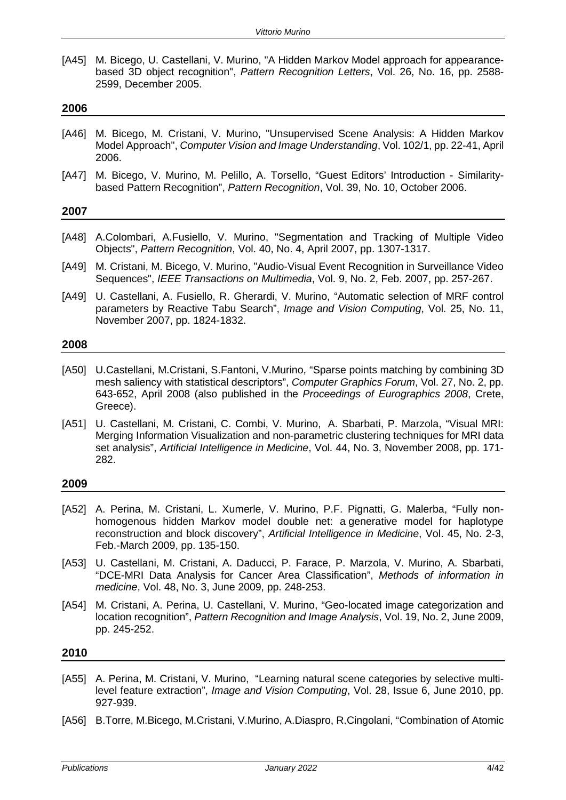[A45] M. Bicego, U. Castellani, V. Murino, "A Hidden Markov Model approach for appearancebased 3D object recognition", *Pattern Recognition Letters*, Vol. 26, No. 16, pp. 2588- 2599, December 2005.

#### **2006**

- [A46] M. Bicego, M. Cristani, V. Murino, "Unsupervised Scene Analysis: A Hidden Markov Model Approach", *Computer Vision and Image Understanding*, Vol. 102/1, pp. 22-41, April 2006.
- [A47] M. Bicego, V. Murino, M. Pelillo, A. Torsello, "Guest Editors' Introduction Similaritybased Pattern Recognition", *Pattern Recognition*, Vol. 39, No. 10, October 2006.

# **2007**

- [A48] A.Colombari, A.Fusiello, V. Murino, "Segmentation and Tracking of Multiple Video Objects", *Pattern Recognition*, Vol. 40, No. 4, April 2007, pp. 1307-1317.
- [A49] M. Cristani, M. Bicego, V. Murino, "Audio-Visual Event Recognition in Surveillance Video Sequences", *IEEE Transactions on Multimedia*, Vol. 9, No. 2, Feb. 2007, pp. 257-267.
- [A49] U. Castellani, A. Fusiello, R. Gherardi, V. Murino, "Automatic selection of MRF control parameters by Reactive Tabu Search", *Image and Vision Computing*, Vol. 25, No. 11, November 2007, pp. 1824-1832.

#### **2008**

- [A50] U.Castellani, M.Cristani, S.Fantoni, V.Murino, "Sparse points matching by combining 3D mesh saliency with statistical descriptors", *Computer Graphics Forum*, Vol. 27, No. 2, pp. 643-652, April 2008 (also published in the *Proceedings of Eurographics 2008*, Crete, Greece).
- [A51] U. Castellani, M. Cristani, C. Combi, V. Murino, A. Sbarbati, P. Marzola, "Visual MRI: Merging Information Visualization and non-parametric clustering techniques for MRI data set analysis", *Artificial Intelligence in Medicine*, Vol. 44, No. 3, November 2008, pp. 171- 282.

# **2009**

- [A52] A. Perina, M. Cristani, L. Xumerle, V. Murino, P.F. Pignatti, G. Malerba, "Fully nonhomogenous hidden Markov model double net: a generative model for haplotype reconstruction and block discovery", *Artificial Intelligence in Medicine*, Vol. 45, No. 2-3, Feb.-March 2009, pp. 135-150.
- [A53] U. Castellani, M. Cristani, A. Daducci, P. Farace, P. Marzola, V. Murino, A. Sbarbati, "DCE-MRI Data Analysis for Cancer Area Classification", *Methods of information in medicine*, Vol. 48, No. 3, June 2009, pp. 248-253.
- [A54] M. Cristani, A. Perina, U. Castellani, V. Murino, "Geo-located image categorization and location recognition", *Pattern Recognition and Image Analysis*, Vol. 19, No. 2, June 2009, pp. 245-252.

- [A55] A. Perina, M. Cristani, V. Murino, "Learning natural scene categories by selective multilevel feature extraction", *Image and Vision Computing*, Vol. 28, Issue 6, June 2010, pp. 927-939.
- [A56] B.Torre, M.Bicego, M.Cristani, V.Murino, A.Diaspro, R.Cingolani, "Combination of Atomic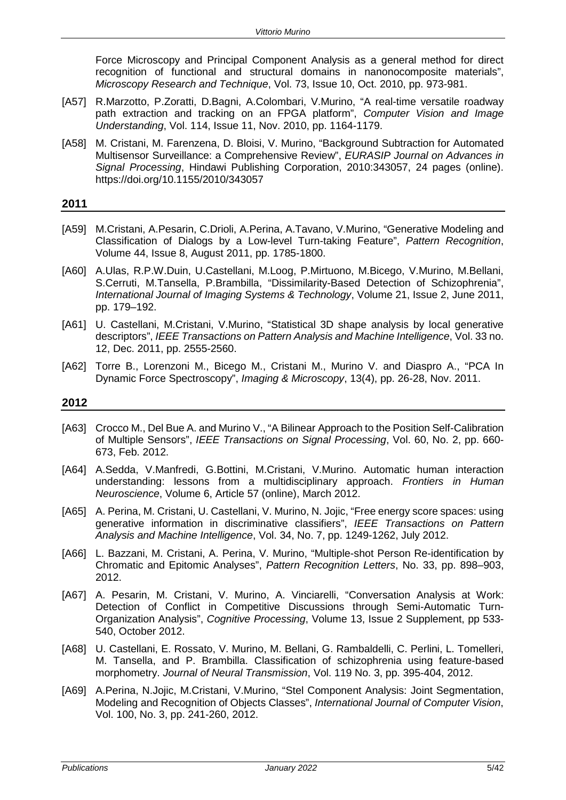Force Microscopy and Principal Component Analysis as a general method for direct recognition of functional and structural domains in nanonocomposite materials", *Microscopy Research and Technique*, Vol. 73, Issue 10, Oct. 2010, pp. 973-981.

- [A57] R.Marzotto, P.Zoratti, D.Bagni, A.Colombari, V.Murino, "A real-time versatile roadway path extraction and tracking on an FPGA platform", *Computer Vision and Image Understanding*, Vol. 114, Issue 11, Nov. 2010, pp. 1164-1179.
- [A58] M. Cristani, M. Farenzena, D. Bloisi, V. Murino, "Background Subtraction for Automated Multisensor Surveillance: a Comprehensive Review", *EURASIP Journal on Advances in Signal Processing*, Hindawi Publishing Corporation, 2010:343057, 24 pages (online). https://doi.org/10.1155/2010/343057

## **2011**

- [A59] M.Cristani, A.Pesarin, C.Drioli, A.Perina, A.Tavano, V.Murino, "Generative Modeling and Classification of Dialogs by a Low-level Turn-taking Feature", *Pattern Recognition*, Volume 44, Issue 8, August 2011, pp. 1785-1800.
- [A60] A.Ulas, R.P.W.Duin, U.Castellani, M.Loog, P.Mirtuono, M.Bicego, V.Murino, M.Bellani, S.Cerruti, M.Tansella, P.Brambilla, "Dissimilarity-Based Detection of Schizophrenia", *International Journal of Imaging Systems & Technology*, Volume 21, Issue 2, June 2011, pp. 179–192.
- [A61] U. Castellani, M.Cristani, V.Murino, "Statistical 3D shape analysis by local generative descriptors", *IEEE Transactions on Pattern Analysis and Machine Intelligence*, Vol. 33 no. 12, Dec. 2011, pp. 2555-2560.
- [A62] Torre B., Lorenzoni M., Bicego M., Cristani M., Murino V. and Diaspro A., "PCA In Dynamic Force Spectroscopy", *Imaging & Microscopy*, 13(4), pp. 26-28, Nov. 2011.

- [A63] Crocco M., Del Bue A. and Murino V., "A Bilinear Approach to the Position Self-Calibration of Multiple Sensors", *IEEE Transactions on Signal Processing*, Vol. 60, No. 2, pp. 660- 673, Feb. 2012.
- [A64] A.Sedda, V.Manfredi, G.Bottini, M.Cristani, V.Murino. Automatic human interaction understanding: lessons from a multidisciplinary approach. *Frontiers in Human Neuroscience*, Volume 6, Article 57 (online), March 2012.
- [A65] A. Perina, M. Cristani, U. Castellani, V. Murino, N. Jojic, "Free energy score spaces: using generative information in discriminative classifiers", *IEEE Transactions on Pattern Analysis and Machine Intelligence*, Vol. 34, No. 7, pp. 1249-1262, July 2012.
- [A66] L. Bazzani, M. Cristani, A. Perina, V. Murino, "Multiple-shot Person Re-identification by Chromatic and Epitomic Analyses", *Pattern Recognition Letters*, No. 33, pp. 898–903, 2012.
- [A67] A. Pesarin, M. Cristani, V. Murino, A. Vinciarelli, "Conversation Analysis at Work: Detection of Conflict in Competitive Discussions through Semi-Automatic Turn-Organization Analysis", *Cognitive Processing*, Volume 13, Issue 2 Supplement, pp 533- 540, October 2012.
- [A68] U. Castellani, E. Rossato, V. Murino, M. Bellani, G. Rambaldelli, C. Perlini, L. Tomelleri, M. Tansella, and P. Brambilla. Classification of schizophrenia using feature-based morphometry. *Journal of Neural Transmission*, Vol. 119 No. 3, pp. 395-404, 2012.
- [A69] A.Perina, N.Jojic, M.Cristani, V.Murino, "Stel Component Analysis: Joint Segmentation, Modeling and Recognition of Objects Classes", *International Journal of Computer Vision*, Vol. 100, No. 3, pp. 241-260, 2012.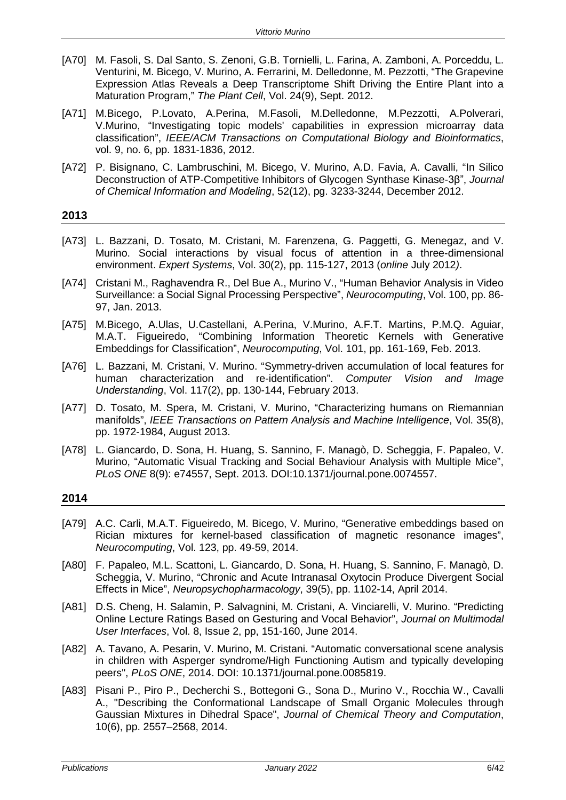- [A70] M. Fasoli, S. Dal Santo, S. Zenoni, G.B. Tornielli, L. Farina, A. Zamboni, A. Porceddu, L. Venturini, M. Bicego, V. Murino, A. Ferrarini, M. Delledonne, M. Pezzotti, "The Grapevine Expression Atlas Reveals a Deep Transcriptome Shift Driving the Entire Plant into a Maturation Program," *The Plant Cell*, Vol. 24(9), Sept. 2012.
- [A71] M.Bicego, P.Lovato, A.Perina, M.Fasoli, M.Delledonne, M.Pezzotti, A.Polverari, V.Murino, "Investigating topic models' capabilities in expression microarray data classification", *IEEE/ACM Transactions on Computational Biology and Bioinformatics*, vol. 9, no. 6, pp. 1831-1836, 2012.
- [A72] P. Bisignano, C. Lambruschini, M. Bicego, V. Murino, A.D. Favia, A. Cavalli, "In Silico Deconstruction of ATP-Competitive Inhibitors of Glycogen Synthase Kinase-3β", *Journal of Chemical Information and Modeling*, 52(12), pg. 3233-3244, December 2012.

- [A73] L. Bazzani, D. Tosato, M. Cristani, M. Farenzena, G. Paggetti, G. Menegaz, and V. Murino. Social interactions by visual focus of attention in a three-dimensional environment. *Expert Systems*, Vol. 30(2), pp. 115-127, 2013 (*online* July 2012*)*.
- [A74] Cristani M., Raghavendra R., Del Bue A., Murino V., "Human Behavior Analysis in Video Surveillance: a Social Signal Processing Perspective", *Neurocomputing*, Vol. 100, pp. 86- 97, Jan. 2013.
- [A75] M.Bicego, A.Ulas, U.Castellani, A.Perina, V.Murino, A.F.T. Martins, P.M.Q. Aguiar, M.A.T. Figueiredo, "Combining Information Theoretic Kernels with Generative Embeddings for Classification", *Neurocomputing*, Vol. 101, pp. 161-169, Feb. 2013.
- [A76] L. Bazzani, M. Cristani, V. Murino. "Symmetry-driven accumulation of local features for human characterization and re-identification". *Computer Vision and Image Understanding*, Vol. 117(2), pp. 130-144, February 2013.
- [A77] D. Tosato, M. Spera, M. Cristani, V. Murino, "Characterizing humans on Riemannian manifolds", *IEEE Transactions on Pattern Analysis and Machine Intelligence*, Vol. 35(8), pp. 1972-1984, August 2013.
- [A78] L. Giancardo, D. Sona, H. Huang, S. Sannino, F. Managò, D. Scheggia, F. Papaleo, V. Murino, "Automatic Visual Tracking and Social Behaviour Analysis with Multiple Mice", *PLoS ONE* 8(9): e74557, Sept. 2013. DOI:10.1371/journal.pone.0074557.

- [A79] A.C. Carli, M.A.T. Figueiredo, M. Bicego, V. Murino, "Generative embeddings based on Rician mixtures for kernel-based classification of magnetic resonance images", *Neurocomputing*, Vol. 123, pp. 49-59, 2014.
- [A80] F. Papaleo, M.L. Scattoni, L. Giancardo, D. Sona, H. Huang, S. Sannino, F. Managò, D. Scheggia, V. Murino, "Chronic and Acute Intranasal Oxytocin Produce Divergent Social Effects in Mice", *Neuropsychopharmacology*, 39(5), pp. 1102-14, April 2014.
- [A81] D.S. Cheng, H. Salamin, P. Salvagnini, M. Cristani, A. Vinciarelli, V. Murino. "Predicting Online Lecture Ratings Based on Gesturing and Vocal Behavior", *Journal on Multimodal User Interfaces*, Vol. 8, Issue 2, pp, 151-160, June 2014.
- [A82] A. Tavano, A. Pesarin, V. Murino, M. Cristani. "Automatic conversational scene analysis in children with Asperger syndrome/High Functioning Autism and typically developing peers", *PLoS ONE*, 2014. DOI: 10.1371/journal.pone.0085819.
- [A83] Pisani P., Piro P., Decherchi S., Bottegoni G., Sona D., Murino V., Rocchia W., Cavalli A., "Describing the Conformational Landscape of Small Organic Molecules through Gaussian Mixtures in Dihedral Space", *Journal of Chemical Theory and Computation*, 10(6), pp. 2557–2568, 2014.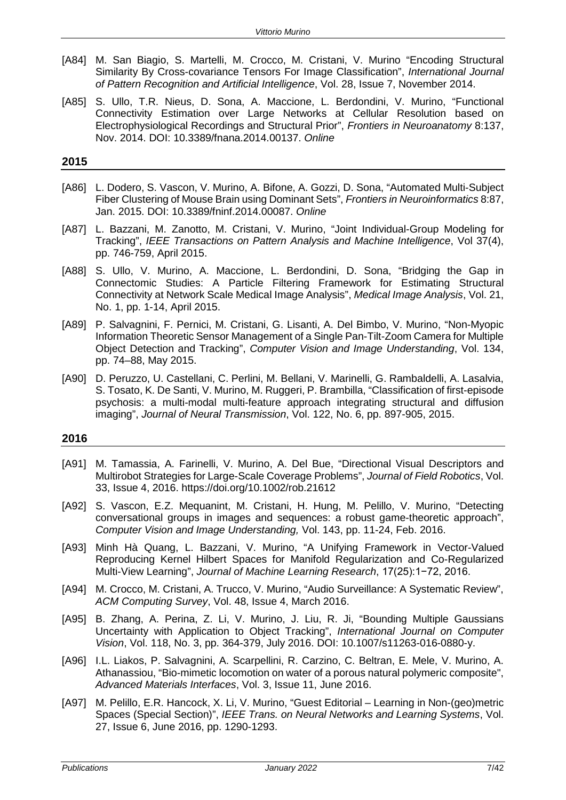- [A84] M. San Biagio, S. Martelli, M. Crocco, M. Cristani, V. Murino "Encoding Structural Similarity By Cross-covariance Tensors For Image Classification", *International Journal of Pattern Recognition and Artificial Intelligence*, Vol. 28, Issue 7, November 2014.
- [A85] S. Ullo, T.R. Nieus, D. Sona, A. Maccione, L. Berdondini, V. Murino, "Functional Connectivity Estimation over Large Networks at Cellular Resolution based on Electrophysiological Recordings and Structural Prior", *Frontiers in Neuroanatomy* 8:137, Nov. 2014. DOI: 10.3389/fnana.2014.00137. *Online*

- [A86] L. Dodero, S. Vascon, V. Murino, A. Bifone, A. Gozzi, D. Sona, "Automated Multi-Subject Fiber Clustering of Mouse Brain using Dominant Sets", *Frontiers in Neuroinformatics* 8:87, Jan. 2015. DOI: 10.3389/fninf.2014.00087. *Online*
- [A87] L. Bazzani, M. Zanotto, M. Cristani, V. Murino, "Joint Individual-Group Modeling for Tracking", *IEEE Transactions on Pattern Analysis and Machine Intelligence*, Vol 37(4), pp. 746-759, April 2015.
- [A88] S. Ullo, V. Murino, A. Maccione, L. Berdondini, D. Sona, "Bridging the Gap in Connectomic Studies: A Particle Filtering Framework for Estimating Structural Connectivity at Network Scale Medical Image Analysis", *Medical Image Analysis*, Vol. 21, No. 1, pp. 1-14, April 2015.
- [A89] P. Salvagnini, F. Pernici, M. Cristani, G. Lisanti, A. Del Bimbo, V. Murino, "Non-Myopic Information Theoretic Sensor Management of a Single Pan-Tilt-Zoom Camera for Multiple Object Detection and Tracking", *Computer Vision and Image Understanding*, Vol. 134, pp. 74–88, May 2015.
- [A90] D. Peruzzo, U. Castellani, C. Perlini, M. Bellani, V. Marinelli, G. Rambaldelli, A. Lasalvia, S. Tosato, K. De Santi, V. Murino, M. Ruggeri, P. Brambilla, "Classification of first-episode psychosis: a multi-modal multi-feature approach integrating structural and diffusion imaging", *Journal of Neural Transmission*, Vol. 122, No. 6, pp. 897-905, 2015.

- [A91] M. Tamassia, A. Farinelli, V. Murino, A. Del Bue, "Directional Visual Descriptors and Multirobot Strategies for Large-Scale Coverage Problems", *Journal of Field Robotics*, Vol. 33, Issue 4, 2016. https://doi.org/10.1002/rob.21612
- [A92] S. Vascon, E.Z. Mequanint, M. Cristani, H. Hung, M. Pelillo, V. Murino, "Detecting conversational groups in images and sequences: a robust game-theoretic approach", *Computer Vision and Image Understanding,* Vol. 143, pp. 11-24, Feb. 2016.
- [A93] Minh Hà Quang, L. Bazzani, V. Murino, "A Unifying Framework in Vector-Valued Reproducing Kernel Hilbert Spaces for Manifold Regularization and Co-Regularized Multi-View Learning", *Journal of Machine Learning Research*, 17(25):1−72, 2016.
- [A94] M. Crocco, M. Cristani, A. Trucco, V. Murino, "Audio Surveillance: A Systematic Review", *ACM Computing Survey*, Vol. 48, Issue 4, March 2016.
- [A95] B. Zhang, A. Perina, Z. Li, V. Murino, J. Liu, R. Ji, "Bounding Multiple Gaussians Uncertainty with Application to Object Tracking", *International Journal on Computer Vision*, Vol. 118, No. 3, pp. 364-379, July 2016. DOI: 10.1007/s11263-016-0880-y.
- [A96] I.L. Liakos, P. Salvagnini, A. Scarpellini, R. Carzino, C. Beltran, E. Mele, V. Murino, A. Athanassiou, "Bio-mimetic locomotion on water of a porous natural polymeric composite", *Advanced Materials Interfaces*, Vol. 3, Issue 11, June 2016.
- [A97] M. Pelillo, E.R. Hancock, X. Li, V. Murino, "Guest Editorial Learning in Non-(geo)metric Spaces (Special Section)", *IEEE Trans. on Neural Networks and Learning Systems*, Vol. 27, Issue 6, June 2016, pp. 1290-1293.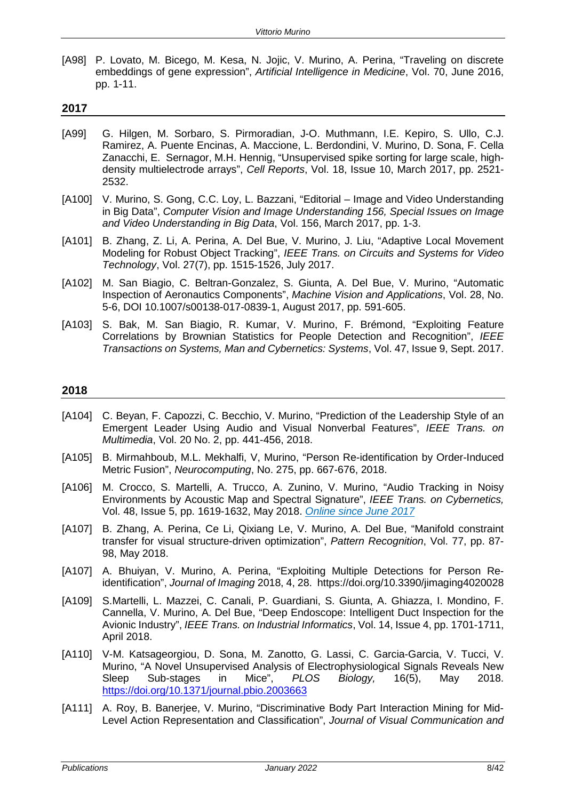[A98] P. Lovato, M. Bicego, M. Kesa, N. Jojic, V. Murino, A. Perina, "Traveling on discrete embeddings of gene expression", *Artificial Intelligence in Medicine*, Vol. 70, June 2016, pp. 1-11.

# **2017**

- [A99] G. Hilgen, M. Sorbaro, S. Pirmoradian, J-O. Muthmann, I.E. Kepiro, S. Ullo, C.J. Ramirez, A. Puente Encinas, A. Maccione, L. Berdondini, V. Murino, D. Sona, F. Cella Zanacchi, E. Sernagor, M.H. Hennig, "Unsupervised spike sorting for large scale, highdensity multielectrode arrays", *Cell Reports*, Vol. 18, Issue 10, March 2017, pp. 2521- 2532.
- [A100] V. Murino, S. Gong, C.C. Loy, L. Bazzani, "Editorial Image and Video Understanding in Big Data", *Computer Vision and Image Understanding 156, Special Issues on Image and Video Understanding in Big Data*, Vol. 156, March 2017, pp. 1-3.
- [A101] B. Zhang, Z. Li, A. Perina, A. Del Bue, V. Murino, J. Liu, "Adaptive Local Movement Modeling for Robust Object Tracking", *IEEE Trans. on Circuits and Systems for Video Technology*, Vol. 27(7), pp. 1515-1526, July 2017.
- [A102] M. San Biagio, C. Beltran-Gonzalez, S. Giunta, A. Del Bue, V. Murino, "Automatic Inspection of Aeronautics Components", *Machine Vision and Applications*, Vol. 28, No. 5-6, DOI 10.1007/s00138-017-0839-1, August 2017, pp. 591-605.
- [A103] S. Bak, M. San Biagio, R. Kumar, V. Murino, F. Brémond, "Exploiting Feature Correlations by Brownian Statistics for People Detection and Recognition", *IEEE Transactions on Systems, Man and Cybernetics: Systems*, Vol. 47, Issue 9, Sept. 2017.

- [A104] C. Beyan, F. Capozzi, C. Becchio, V. Murino, "Prediction of the Leadership Style of an Emergent Leader Using Audio and Visual Nonverbal Features", *IEEE Trans. on Multimedia*, Vol. 20 No. 2, pp. 441-456, 2018.
- [A105] B. Mirmahboub, M.L. Mekhalfi, V, Murino, "Person Re-identification by Order-Induced Metric Fusion", *Neurocomputing*, No. 275, pp. 667-676, 2018.
- [A106] M. Crocco, S. Martelli, A. Trucco, A. Zunino, V. Murino, "Audio Tracking in Noisy Environments by Acoustic Map and Spectral Signature", *IEEE Trans. on Cybernetics,*  Vol. 48, Issue 5, pp. 1619-1632, May 2018. *Online since June 2017*
- [A107] B. Zhang, A. Perina, Ce Li, Qixiang Le, V. Murino, A. Del Bue, "Manifold constraint transfer for visual structure-driven optimization", *Pattern Recognition*, Vol. 77, pp. 87- 98, May 2018.
- [A107] A. Bhuiyan, V. Murino, A. Perina, "Exploiting Multiple Detections for Person Reidentification", *Journal of Imaging* 2018, 4, 28. https://doi.org/10.3390/jimaging4020028
- [A109] S.Martelli, L. Mazzei, C. Canali, P. Guardiani, S. Giunta, A. Ghiazza, I. Mondino, F. Cannella, V. Murino, A. Del Bue, "Deep Endoscope: Intelligent Duct Inspection for the Avionic Industry", *IEEE Trans. on Industrial Informatics*, Vol. 14, Issue 4, pp. 1701-1711, April 2018.
- [A110] V-M. Katsageorgiou, D. Sona, M. Zanotto, G. Lassi, C. Garcia-Garcia, V. Tucci, V. Murino, "A Novel Unsupervised Analysis of Electrophysiological Signals Reveals New Sleep Sub-stages in Mice", *PLOS Biology,* 16(5), May 2018. <https://doi.org/10.1371/journal.pbio.2003663>
- [A111] A. Roy, B. Banerjee, V. Murino, "Discriminative Body Part Interaction Mining for Mid-Level Action Representation and Classification", *Journal of Visual Communication and*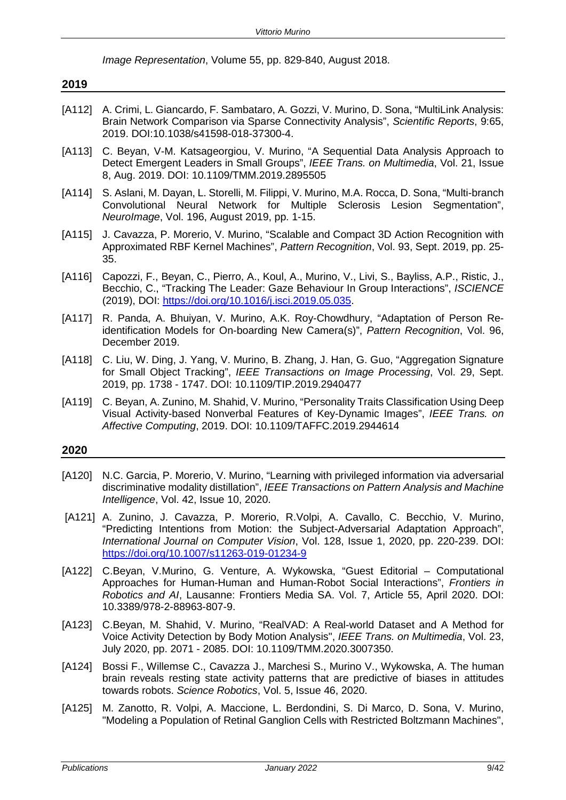*Image Representation*, Volume 55, pp. 829-840, August 2018.

| 2019     |                                                                                                                                                                                                                                                  |
|----------|--------------------------------------------------------------------------------------------------------------------------------------------------------------------------------------------------------------------------------------------------|
| $[A112]$ | A. Crimi, L. Giancardo, F. Sambataro, A. Gozzi, V. Murino, D. Sona, "MultiLink Analysis:<br>Brain Network Comparison via Sparse Connectivity Analysis", Scientific Reports, 9:65,<br>2019. DOI:10.1038/s41598-018-37300-4.                       |
| [A113]   | C. Beyan, V-M. Katsageorgiou, V. Murino, "A Sequential Data Analysis Approach to<br>Detect Emergent Leaders in Small Groups", IEEE Trans. on Multimedia, Vol. 21, Issue<br>8, Aug. 2019. DOI: 10.1109/TMM.2019.2895505                           |
| $[A114]$ | S. Aslani, M. Dayan, L. Storelli, M. Filippi, V. Murino, M.A. Rocca, D. Sona, "Multi-branch<br>Convolutional Neural Network for Multiple Sclerosis Lesion Segmentation",<br>Neurolmage, Vol. 196, August 2019, pp. 1-15.                         |
| [A115]   | J. Cavazza, P. Morerio, V. Murino, "Scalable and Compact 3D Action Recognition with<br>Approximated RBF Kernel Machines", Pattern Recognition, Vol. 93, Sept. 2019, pp. 25-<br>35.                                                               |
| $[A116]$ | Capozzi, F., Beyan, C., Pierro, A., Koul, A., Murino, V., Livi, S., Bayliss, A.P., Ristic, J.,<br>Becchio, C., "Tracking The Leader: Gaze Behaviour In Group Interactions", ISCIENCE<br>(2019), DOI: https://doi.org/10.1016/j.isci.2019.05.035. |
| $[A117]$ | R. Panda, A. Bhuiyan, V. Murino, A.K. Roy-Chowdhury, "Adaptation of Person Re-<br>identification Models for On-boarding New Camera(s)", Pattern Recognition, Vol. 96,<br>December 2019.                                                          |
| $[A118]$ | C. Liu, W. Ding, J. Yang, V. Murino, B. Zhang, J. Han, G. Guo, "Aggregation Signature<br>for Small Object Tracking", IEEE Transactions on Image Processing, Vol. 29, Sept.<br>2019, pp. 1738 - 1747. DOI: 10.1109/TIP.2019.2940477               |
| [A119]   | C. Beyan, A. Zunino, M. Shahid, V. Murino, "Personality Traits Classification Using Deep<br>Visual Activity-based Nonverbal Features of Key-Dynamic Images", IEEE Trans. on<br>Affective Computing, 2019. DOI: 10.1109/TAFFC.2019.2944614        |
| 2020     |                                                                                                                                                                                                                                                  |
| [A120]   | N.C. Garcia, P. Morerio, V. Murino, "Learning with privileged information via adversarial<br>discriminative modality distillation", IEEE Transactions on Pattern Analysis and Machine<br>Intelligence, Vol. 42, Issue 10, 2020.                  |
| [A121]   | A. Zunino, J. Cavazza, P. Morerio, R. Volpi, A. Cavallo, C. Becchio, V. Murino,<br>"Predicting Intentions from Motion: the Subject-Adversarial Adaptation Approach",                                                                             |

- *International Journal on Computer Vision*, Vol. 128, Issue 1, 2020, pp. 220-239. DOI: <https://doi.org/10.1007/s11263-019-01234-9> [A122] C.Beyan, V.Murino, G. Venture, A. Wykowska, "Guest Editorial – Computational
- Approaches for Human-Human and Human-Robot Social Interactions", *Frontiers in Robotics and AI*, Lausanne: Frontiers Media SA. Vol. 7, Article 55, April 2020. DOI: 10.3389/978-2-88963-807-9.
- [A123] C.Beyan, M. Shahid, V. Murino, "RealVAD: A Real-world Dataset and A Method for Voice Activity Detection by Body Motion Analysis", *IEEE Trans. on Multimedia*, Vol. 23, July 2020, pp. 2071 - 2085. DOI: 10.1109/TMM.2020.3007350.
- [A124] Bossi F., Willemse C., Cavazza J., Marchesi S., Murino V., Wykowska, A. The human brain reveals resting state activity patterns that are predictive of biases in attitudes towards robots. *Science Robotics*, Vol. 5, Issue 46, 2020.
- [A125] M. Zanotto, R. Volpi, A. Maccione, L. Berdondini, S. Di Marco, D. Sona, V. Murino, "Modeling a Population of Retinal Ganglion Cells with Restricted Boltzmann Machines",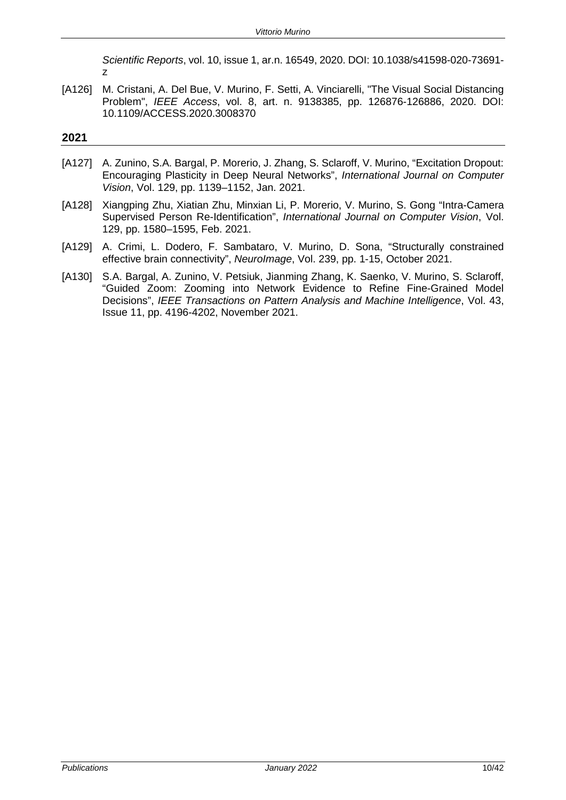*Scientific Reports*, vol. 10, issue 1, ar.n. 16549, 2020. DOI: 10.1038/s41598-020-73691 z

[A126] M. Cristani, A. Del Bue, V. Murino, F. Setti, A. Vinciarelli, "The Visual Social Distancing Problem", *IEEE Access*, vol. 8, art. n. 9138385, pp. 126876-126886, 2020. DOI: 10.1109/ACCESS.2020.3008370

- [A127] A. Zunino, S.A. Bargal, P. Morerio, J. Zhang, S. Sclaroff, V. Murino, "Excitation Dropout: Encouraging Plasticity in Deep Neural Networks", *International Journal on Computer Vision*, Vol. 129, pp. 1139–1152, Jan. 2021.
- [A128] Xiangping Zhu, Xiatian Zhu, Minxian Li, P. Morerio, V. Murino, S. Gong "Intra-Camera Supervised Person Re-Identification", *International Journal on Computer Vision*, Vol. 129, pp. 1580–1595, Feb. 2021.
- [A129] A. Crimi, L. Dodero, F. Sambataro, V. Murino, D. Sona, "Structurally constrained effective brain connectivity", *NeuroImage*, Vol. 239, pp. 1-15, October 2021.
- [A130] S.A. Bargal, A. Zunino, V. Petsiuk, Jianming Zhang, K. Saenko, V. Murino, S. Sclaroff, "Guided Zoom: Zooming into Network Evidence to Refine Fine-Grained Model Decisions", *IEEE Transactions on Pattern Analysis and Machine Intelligence*, Vol. 43, Issue 11, pp. 4196-4202, November 2021.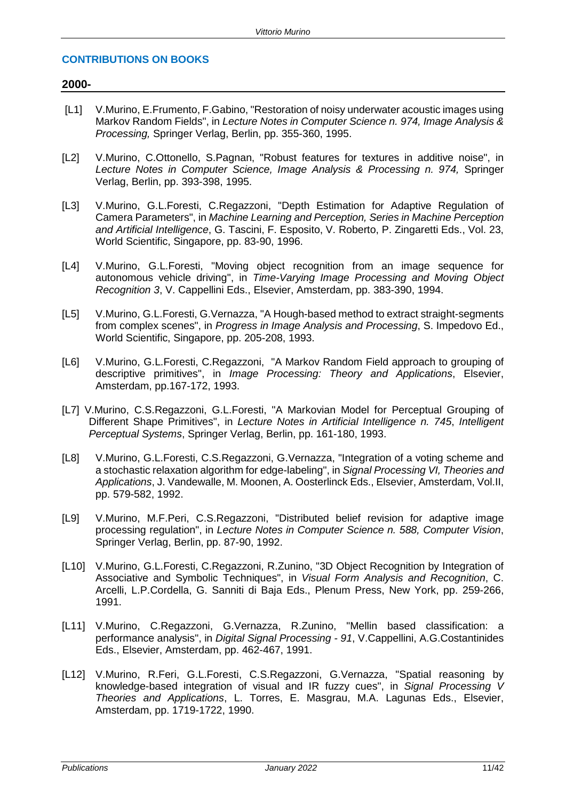# **CONTRIBUTIONS ON BOOKS**

# **2000-**

- [L1] V.Murino, E.Frumento, F.Gabino, "Restoration of noisy underwater acoustic images using Markov Random Fields", in *Lecture Notes in Computer Science n. 974, Image Analysis & Processing,* Springer Verlag, Berlin, pp. 355-360, 1995.
- [L2] V.Murino, C.Ottonello, S.Pagnan, "Robust features for textures in additive noise", in *Lecture Notes in Computer Science, Image Analysis & Processing n. 974,* Springer Verlag, Berlin, pp. 393-398, 1995.
- [L3] V.Murino, G.L.Foresti, C.Regazzoni, "Depth Estimation for Adaptive Regulation of Camera Parameters", in *Machine Learning and Perception, Series in Machine Perception and Artificial Intelligence*, G. Tascini, F. Esposito, V. Roberto, P. Zingaretti Eds., Vol. 23, World Scientific, Singapore, pp. 83-90, 1996.
- [L4] V.Murino, G.L.Foresti, "Moving object recognition from an image sequence for autonomous vehicle driving", in *Time-Varying Image Processing and Moving Object Recognition 3*, V. Cappellini Eds., Elsevier, Amsterdam, pp. 383-390, 1994.
- [L5] V.Murino, G.L.Foresti, G.Vernazza, "A Hough-based method to extract straight-segments from complex scenes", in *Progress in Image Analysis and Processing*, S. Impedovo Ed., World Scientific, Singapore, pp. 205-208, 1993.
- [L6] V.Murino, G.L.Foresti, C.Regazzoni, "A Markov Random Field approach to grouping of descriptive primitives", in *Image Processing: Theory and Applications*, Elsevier, Amsterdam, pp.167-172, 1993.
- [L7] V.Murino, C.S.Regazzoni, G.L.Foresti, "A Markovian Model for Perceptual Grouping of Different Shape Primitives", in *Lecture Notes in Artificial Intelligence n. 745*, *Intelligent Perceptual Systems*, Springer Verlag, Berlin, pp. 161-180, 1993.
- [L8] V.Murino, G.L.Foresti, C.S.Regazzoni, G.Vernazza, "Integration of a voting scheme and a stochastic relaxation algorithm for edge-labeling", in *Signal Processing VI, Theories and Applications*, J. Vandewalle, M. Moonen, A. Oosterlinck Eds., Elsevier, Amsterdam, Vol.II, pp. 579-582, 1992.
- [L9] V.Murino, M.F.Peri, C.S.Regazzoni, "Distributed belief revision for adaptive image processing regulation", in *Lecture Notes in Computer Science n. 588, Computer Vision*, Springer Verlag, Berlin, pp. 87-90, 1992.
- [L10] V.Murino, G.L.Foresti, C.Regazzoni, R.Zunino, "3D Object Recognition by Integration of Associative and Symbolic Techniques", in *Visual Form Analysis and Recognition*, C. Arcelli, L.P.Cordella, G. Sanniti di Baja Eds., Plenum Press, New York, pp. 259-266, 1991.
- [L11] V.Murino, C.Regazzoni, G.Vernazza, R.Zunino, "Mellin based classification: a performance analysis", in *Digital Signal Processing - 91*, V.Cappellini, A.G.Costantinides Eds., Elsevier, Amsterdam, pp. 462-467, 1991.
- [L12] V.Murino, R.Feri, G.L.Foresti, C.S.Regazzoni, G.Vernazza, "Spatial reasoning by knowledge-based integration of visual and IR fuzzy cues", in *Signal Processing V Theories and Applications*, L. Torres, E. Masgrau, M.A. Lagunas Eds., Elsevier, Amsterdam, pp. 1719-1722, 1990.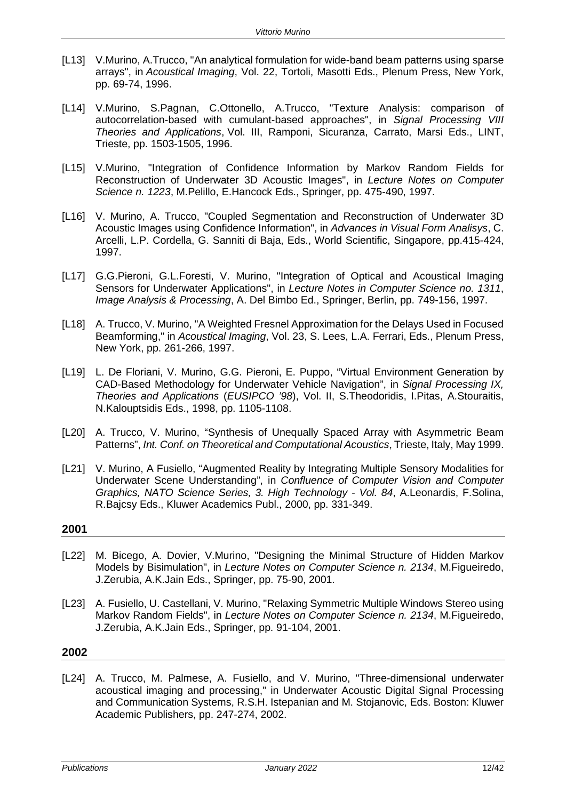- [L13] V.Murino, A.Trucco, "An analytical formulation for wide-band beam patterns using sparse arrays", in *Acoustical Imaging*, Vol. 22, Tortoli, Masotti Eds., Plenum Press, New York, pp. 69-74, 1996.
- [L14] V.Murino, S.Pagnan, C.Ottonello, A.Trucco, "Texture Analysis: comparison of autocorrelation-based with cumulant-based approaches", in *Signal Processing VIII Theories and Applications*, Vol. III, Ramponi, Sicuranza, Carrato, Marsi Eds., LINT, Trieste, pp. 1503-1505, 1996.
- [L15] V.Murino, "Integration of Confidence Information by Markov Random Fields for Reconstruction of Underwater 3D Acoustic Images", in *Lecture Notes on Computer Science n. 1223*, M.Pelillo, E.Hancock Eds., Springer, pp. 475-490, 1997.
- [L16] V. Murino, A. Trucco, "Coupled Segmentation and Reconstruction of Underwater 3D Acoustic Images using Confidence Information", in *Advances in Visual Form Analisys*, C. Arcelli, L.P. Cordella, G. Sanniti di Baja, Eds., World Scientific, Singapore, pp.415-424, 1997.
- [L17] G.G.Pieroni, G.L.Foresti, V. Murino, "Integration of Optical and Acoustical Imaging Sensors for Underwater Applications", in *Lecture Notes in Computer Science no. 1311*, *Image Analysis & Processing*, A. Del Bimbo Ed., Springer, Berlin, pp. 749-156, 1997.
- [L18] A. Trucco, V. Murino, "A Weighted Fresnel Approximation for the Delays Used in Focused Beamforming," in *Acoustical Imaging*, Vol. 23, S. Lees, L.A. Ferrari, Eds., Plenum Press, New York, pp. 261-266, 1997.
- [L19] L. De Floriani, V. Murino, G.G. Pieroni, E. Puppo, "Virtual Environment Generation by CAD-Based Methodology for Underwater Vehicle Navigation", in *Signal Processing IX, Theories and Applications* (*EUSIPCO '98*), Vol. II, S.Theodoridis, I.Pitas, A.Stouraitis, N.Kalouptsidis Eds., 1998, pp. 1105-1108.
- [L20] A. Trucco, V. Murino, "Synthesis of Unequally Spaced Array with Asymmetric Beam Patterns", *Int. Conf. on Theoretical and Computational Acoustics*, Trieste, Italy, May 1999.
- [L21] V. Murino, A Fusiello, "Augmented Reality by Integrating Multiple Sensory Modalities for Underwater Scene Understanding", in *Confluence of Computer Vision and Computer Graphics, NATO Science Series, 3. High Technology - Vol. 84*, A.Leonardis, F.Solina, R.Bajcsy Eds., Kluwer Academics Publ., 2000, pp. 331-349.

- [L22] M. Bicego, A. Dovier, V.Murino, "Designing the Minimal Structure of Hidden Markov Models by Bisimulation", in *Lecture Notes on Computer Science n. 2134*, M.Figueiredo, J.Zerubia, A.K.Jain Eds., Springer, pp. 75-90, 2001.
- [L23] A. Fusiello, U. Castellani, V. Murino, "Relaxing Symmetric Multiple Windows Stereo using Markov Random Fields", in *Lecture Notes on Computer Science n. 2134*, M.Figueiredo, J.Zerubia, A.K.Jain Eds., Springer, pp. 91-104, 2001.

# **2002**

[L24] A. Trucco, M. Palmese, A. Fusiello, and V. Murino, "Three-dimensional underwater acoustical imaging and processing," in Underwater Acoustic Digital Signal Processing and Communication Systems, R.S.H. Istepanian and M. Stojanovic, Eds. Boston: Kluwer Academic Publishers, pp. 247-274, 2002.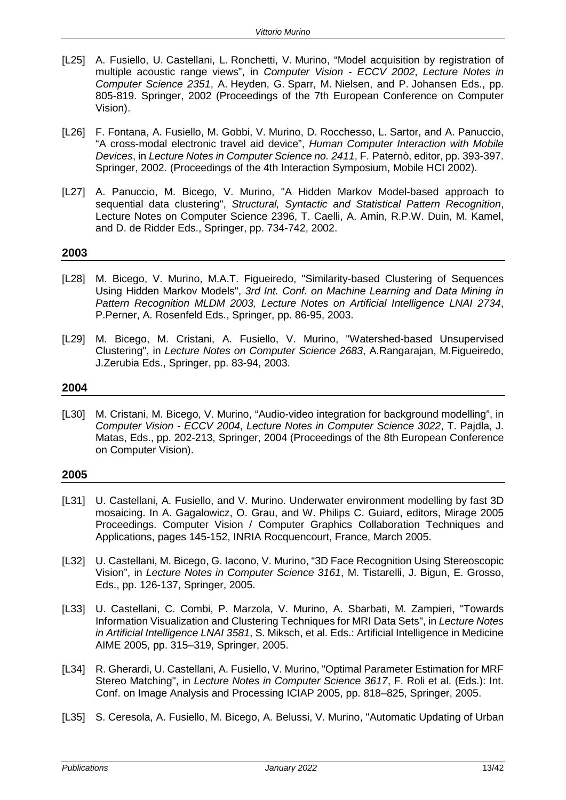- [L25] A. Fusiello, U. Castellani, L. Ronchetti, V. Murino, "Model acquisition by registration of multiple acoustic range views", in *Computer Vision - ECCV 2002*, *Lecture Notes in Computer Science 2351*, A. Heyden, G. Sparr, M. Nielsen, and P. Johansen Eds., pp. 805-819. Springer, 2002 (Proceedings of the 7th European Conference on Computer Vision).
- [L26] F. Fontana, A. Fusiello, M. Gobbi, V. Murino, D. Rocchesso, L. Sartor, and A. Panuccio, "A cross-modal electronic travel aid device", *Human Computer Interaction with Mobile Devices*, in *Lecture Notes in Computer Science no. 2411*, F. Paternò, editor, pp. 393-397. Springer, 2002. (Proceedings of the 4th Interaction Symposium, Mobile HCI 2002).
- [L27] A. Panuccio, M. Bicego, V. Murino, "A Hidden Markov Model-based approach to sequential data clustering", *Structural, Syntactic and Statistical Pattern Recognition*, Lecture Notes on Computer Science 2396, T. Caelli, A. Amin, R.P.W. Duin, M. Kamel, and D. de Ridder Eds., Springer, pp. 734-742, 2002.

- [L28] M. Bicego, V. Murino, M.A.T. Figueiredo, "Similarity-based Clustering of Sequences Using Hidden Markov Models", *3rd Int. Conf. on Machine Learning and Data Mining in Pattern Recognition MLDM 2003, Lecture Notes on Artificial Intelligence LNAI 2734*, P.Perner, A. Rosenfeld Eds., Springer, pp. 86-95, 2003.
- [L29] M. Bicego, M. Cristani, A. Fusiello, V. Murino, "Watershed-based Unsupervised Clustering", in *Lecture Notes on Computer Science 2683*, A.Rangarajan, M.Figueiredo, J.Zerubia Eds., Springer, pp. 83-94, 2003.

# **2004**

[L30] M. Cristani, M. Bicego, V. Murino, "Audio-video integration for background modelling", in *Computer Vision - ECCV 2004*, *Lecture Notes in Computer Science 3022*, T. Pajdla, J. Matas, Eds., pp. 202-213, Springer, 2004 (Proceedings of the 8th European Conference on Computer Vision).

- [L31] U. Castellani, A. Fusiello, and V. Murino. Underwater environment modelling by fast 3D mosaicing. In A. Gagalowicz, O. Grau, and W. Philips C. Guiard, editors, Mirage 2005 Proceedings. Computer Vision / Computer Graphics Collaboration Techniques and Applications, pages 145-152, INRIA Rocquencourt, France, March 2005.
- [L32] U. Castellani, M. Bicego, G. Iacono, V. Murino, "3D Face Recognition Using Stereoscopic Vision", in *Lecture Notes in Computer Science 3161*, M. Tistarelli, J. Bigun, E. Grosso, Eds., pp. 126-137, Springer, 2005.
- [L33] U. Castellani, C. Combi, P. Marzola, V. Murino, A. Sbarbati, M. Zampieri, "Towards Information Visualization and Clustering Techniques for MRI Data Sets", in *Lecture Notes in Artificial Intelligence LNAI 3581*, S. Miksch, et al. Eds.: Artificial Intelligence in Medicine AIME 2005, pp. 315–319, Springer, 2005.
- [L34] R. Gherardi, U. Castellani, A. Fusiello, V. Murino, "Optimal Parameter Estimation for MRF Stereo Matching", in *Lecture Notes in Computer Science 3617*, F. Roli et al. (Eds.): Int. Conf. on Image Analysis and Processing ICIAP 2005, pp. 818–825, Springer, 2005.
- [L35] S. Ceresola, A. Fusiello, M. Bicego, A. Belussi, V. Murino, "Automatic Updating of Urban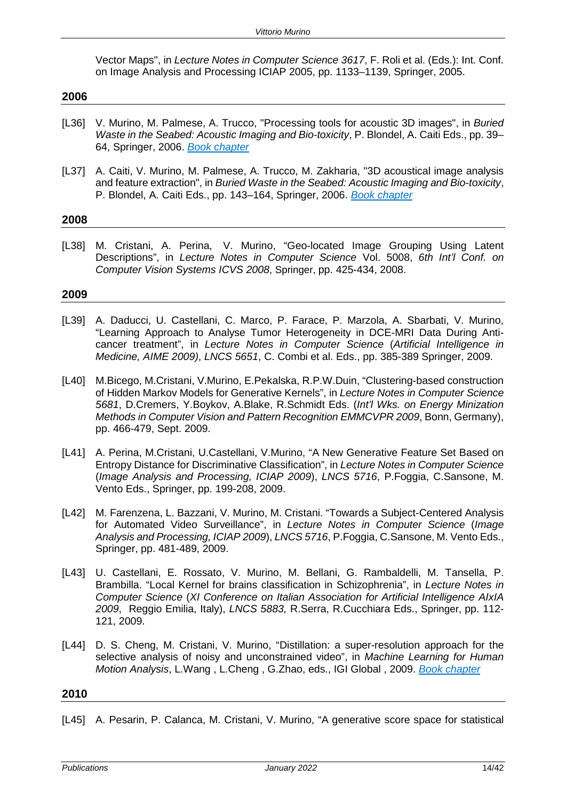Vector Maps", in *Lecture Notes in Computer Science 3617*, F. Roli et al. (Eds.): Int. Conf. on Image Analysis and Processing ICIAP 2005, pp. 1133–1139, Springer, 2005.

#### **2006**

- [L36] V. Murino, M. Palmese, A. Trucco, "Processing tools for acoustic 3D images", in *Buried Waste in the Seabed: Acoustic Imaging and Bio-toxicity*, P. Blondel, A. Caiti Eds., pp. 39– 64, Springer, 2006. *Book chapter*
- [L37] A. Caiti, V. Murino, M. Palmese, A. Trucco, M. Zakharia, "3D acoustical image analysis and feature extraction", in *Buried Waste in the Seabed: Acoustic Imaging and Bio-toxicity*, P. Blondel, A. Caiti Eds., pp. 143–164, Springer, 2006. *Book chapter*

# **2008**

[L38] M. Cristani, A. Perina, V. Murino, "Geo-located Image Grouping Using Latent Descriptions", in *Lecture Notes in Computer Science* Vol. 5008, *6th Int'l Conf. on Computer Vision Systems ICVS 2008*, Springer, pp. 425-434, 2008.

#### **2009**

- [L39] A. Daducci, U. Castellani, C. Marco, P. Farace, P. Marzola, A. Sbarbati, V. Murino, "Learning Approach to Analyse Tumor Heterogeneity in DCE-MRI Data During Anticancer treatment", in *Lecture Notes in Computer Science* (*Artificial Intelligence in Medicine, AIME 2009)*, *LNCS 5651*, C. Combi et al. Eds., pp. 385-389 Springer, 2009.
- [L40] M.Bicego, M.Cristani, V.Murino, E.Pekalska, R.P.W.Duin, "Clustering-based construction of Hidden Markov Models for Generative Kernels", in *Lecture Notes in Computer Science 5681*, D.Cremers, Y.Boykov, A.Blake, R.Schmidt Eds. (*Int'l Wks. on Energy Minization Methods in Computer Vision and Pattern Recognition EMMCVPR 2009*, Bonn, Germany), pp. 466-479, Sept. 2009.
- [L41] A. Perina, M.Cristani, U.Castellani, V.Murino, "A New Generative Feature Set Based on Entropy Distance for Discriminative Classification", in *Lecture Notes in Computer Science*  (*Image Analysis and Processing, ICIAP 2009*), *LNCS 5716*, P.Foggia, C.Sansone, M. Vento Eds., Springer, pp. 199-208, 2009.
- [L42] M. Farenzena, L. Bazzani, V. Murino, M. Cristani. "Towards a Subject-Centered Analysis for Automated Video Surveillance", in *Lecture Notes in Computer Science* (*Image Analysis and Processing, ICIAP 2009*), *LNCS 5716*, P.Foggia, C.Sansone, M. Vento Eds., Springer, pp. 481-489, 2009.
- [L43] U. Castellani, E. Rossato, V. Murino, M. Bellani, G. Rambaldelli, M. Tansella, P. Brambilla. "Local Kernel for brains classification in Schizophrenia", in *Lecture Notes in Computer Science* (*XI Conference on Italian Association for Artificial Intelligence AIxIA 2009*, Reggio Emilia, Italy), *LNCS 5883,* R.Serra, R.Cucchiara Eds., Springer, pp. 112- 121, 2009.
- [L44] D. S. Cheng, M. Cristani, V. Murino, "Distillation: a super-resolution approach for the selective analysis of noisy and unconstrained video", in *Machine Learning for Human Motion Analysis*, L.Wang , L.Cheng , G.Zhao, eds., IGI Global , 2009. *Book chapter*

#### **2010**

[L45] A. Pesarin, P. Calanca, M. Cristani, V. Murino, "A generative score space for statistical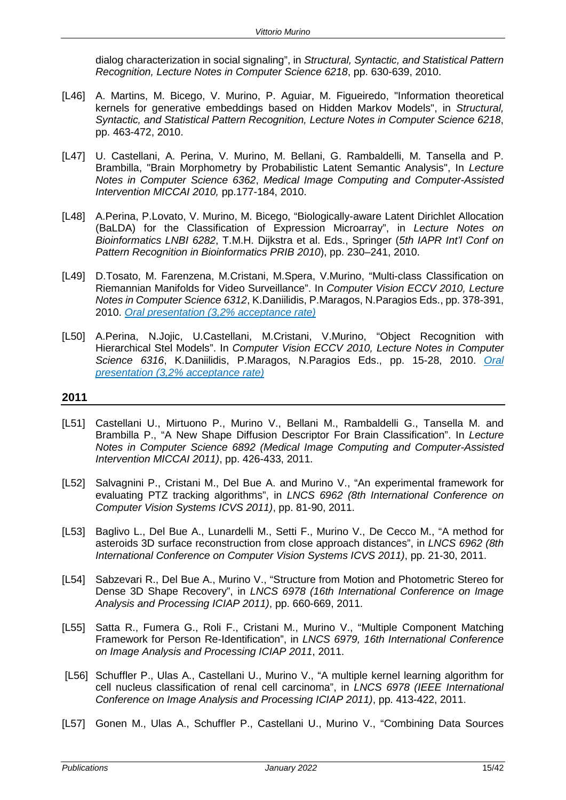dialog characterization in social signaling", in *Structural, Syntactic, and Statistical Pattern Recognition, Lecture Notes in Computer Science 6218*, pp. 630-639, 2010.

- [L46] A. Martins, M. Bicego, V. Murino, P. Aguiar, M. Figueiredo, "Information theoretical kernels for generative embeddings based on Hidden Markov Models", in *Structural, Syntactic, and Statistical Pattern Recognition, Lecture Notes in Computer Science 6218*, pp. 463-472, 2010.
- [L47] U. Castellani, A. Perina, V. Murino, M. Bellani, G. Rambaldelli, M. Tansella and P. Brambilla, "Brain Morphometry by Probabilistic Latent Semantic Analysis", In *Lecture Notes in Computer Science 6362*, *Medical Image Computing and Computer-Assisted Intervention MICCAI 2010,* pp.177-184, 2010.
- [L48] A.Perina, P.Lovato, V. Murino, M. Bicego, "Biologically-aware Latent Dirichlet Allocation (BaLDA) for the Classification of Expression Microarray", in *Lecture Notes on Bioinformatics LNBI 6282*, T.M.H. Dijkstra et al. Eds., Springer (*5th IAPR Int'l Conf on Pattern Recognition in Bioinformatics PRIB 2010*), pp. 230–241, 2010.
- [L49] D.Tosato, M. Farenzena, M.Cristani, M.Spera, V.Murino, "Multi-class Classification on Riemannian Manifolds for Video Surveillance". In *Computer Vision ECCV 2010, Lecture Notes in Computer Science 6312*, K.Daniilidis, P.Maragos, N.Paragios Eds., pp. 378-391, 2010. *Oral presentation (3,2% acceptance rate)*
- [L50] A.Perina, N.Jojic, U.Castellani, M.Cristani, V.Murino, "Object Recognition with Hierarchical Stel Models". In *Computer Vision ECCV 2010, Lecture Notes in Computer Science 6316*, K.Daniilidis, P.Maragos, N.Paragios Eds., pp. 15-28, 2010. *Oral presentation (3,2% acceptance rate)*

- [L51] Castellani U., Mirtuono P., Murino V., Bellani M., Rambaldelli G., Tansella M. and Brambilla P., "A New Shape Diffusion Descriptor For Brain Classification". In *Lecture Notes in Computer Science 6892 (Medical Image Computing and Computer-Assisted Intervention MICCAI 2011)*, pp. 426-433, 2011.
- [L52] Salvagnini P., Cristani M., Del Bue A. and Murino V., "An experimental framework for evaluating PTZ tracking algorithms", in *LNCS 6962 (8th International Conference on Computer Vision Systems ICVS 2011)*, pp. 81-90, 2011.
- [L53] Baglivo L., Del Bue A., Lunardelli M., Setti F., Murino V., De Cecco M., "A method for asteroids 3D surface reconstruction from close approach distances", in *LNCS 6962 (8th International Conference on Computer Vision Systems ICVS 2011)*, pp. 21-30, 2011.
- [L54] Sabzevari R., Del Bue A., Murino V., "Structure from Motion and Photometric Stereo for Dense 3D Shape Recovery", in *LNCS 6978 (16th International Conference on Image Analysis and Processing ICIAP 2011)*, pp. 660-669, 2011.
- [L55] Satta R., Fumera G., Roli F., Cristani M., Murino V., "Multiple Component Matching Framework for Person Re-Identification", in *LNCS 6979, 16th International Conference on Image Analysis and Processing ICIAP 2011*, 2011.
- [L56] Schuffler P., Ulas A., Castellani U., Murino V., "A multiple kernel learning algorithm for cell nucleus classification of renal cell carcinoma", in *LNCS 6978 (IEEE International Conference on Image Analysis and Processing ICIAP 2011)*, pp. 413-422, 2011.
- [L57] Gonen M., Ulas A., Schuffler P., Castellani U., Murino V., "Combining Data Sources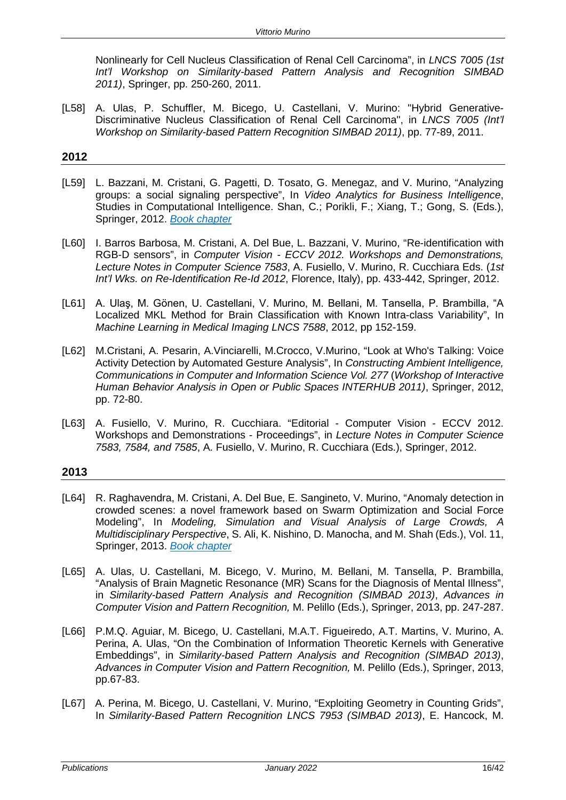Nonlinearly for Cell Nucleus Classification of Renal Cell Carcinoma", in *LNCS 7005 (1st Int'l Workshop on Similarity-based Pattern Analysis and Recognition SIMBAD 2011)*, Springer, pp. 250-260, 2011.

[L58] A. Ulas, P. Schuffler, M. Bicego, U. Castellani, V. Murino: "Hybrid Generative-Discriminative Nucleus Classification of Renal Cell Carcinoma", in *LNCS 7005 (Int'l Workshop on Similarity-based Pattern Recognition SIMBAD 2011)*, pp. 77-89, 2011.

# **2012**

- [L59] L. Bazzani, M. Cristani, G. Pagetti, D. Tosato, G. Menegaz, and V. Murino, "Analyzing groups: a social signaling perspective", In *Video Analytics for Business Intelligence*, Studies in Computational Intelligence. Shan, C.; Porikli, F.; Xiang, T.; Gong, S. (Eds.), Springer, 2012. *Book chapter*
- [L60] I. Barros Barbosa, M. Cristani, A. Del Bue, L. Bazzani, V. Murino, "Re-identification with RGB-D sensors", in *Computer Vision - ECCV 2012. Workshops and Demonstrations, Lecture Notes in Computer Science 7583*, A. Fusiello, V. Murino, R. Cucchiara Eds. (*1st Int'l Wks. on Re-Identification Re-Id 2012*, Florence, Italy), pp. 433-442, Springer, 2012.
- [L61] A. Ulaş, M. Gönen, U. Castellani, V. Murino, M. Bellani, M. Tansella, P. Brambilla, "A Localized MKL Method for Brain Classification with Known Intra-class Variability", In *Machine Learning in Medical Imaging LNCS 7588*, 2012, pp 152-159.
- [L62] M.Cristani, A. Pesarin, A.Vinciarelli, M.Crocco, V.Murino, "Look at Who's Talking: Voice Activity Detection by Automated Gesture Analysis", In *Constructing Ambient Intelligence, Communications in Computer and Information Science Vol. 277* (*Workshop of Interactive Human Behavior Analysis in Open or Public Spaces INTERHUB 2011)*, Springer, 2012, pp. 72-80.
- [L63] A. Fusiello, V. Murino, R. Cucchiara. "Editorial Computer Vision ECCV 2012. Workshops and Demonstrations - Proceedings", in *Lecture Notes in Computer Science 7583, 7584, and 7585*, A. Fusiello, V. Murino, R. Cucchiara (Eds.), Springer, 2012.

- [L64] R. Raghavendra, M. Cristani, A. Del Bue, E. Sangineto, V. Murino, "Anomaly detection in crowded scenes: a novel framework based on Swarm Optimization and Social Force Modeling", In *Modeling, Simulation and Visual Analysis of Large Crowds, A Multidisciplinary Perspective*, S. Ali, K. Nishino, D. Manocha, and M. Shah (Eds.), Vol. 11, Springer, 2013. *Book chapter*
- [L65] A. Ulas, U. Castellani, M. Bicego, V. Murino, M. Bellani, M. Tansella, P. Brambilla, "Analysis of Brain Magnetic Resonance (MR) Scans for the Diagnosis of Mental Illness", in *Similarity-based Pattern Analysis and Recognition (SIMBAD 2013)*, *Advances in Computer Vision and Pattern Recognition,* M. Pelillo (Eds.), Springer, 2013, pp. 247-287.
- [L66] P.M.Q. Aguiar, M. Bicego, U. Castellani, M.A.T. Figueiredo, A.T. Martins, V. Murino, A. Perina, A. Ulas, "On the Combination of Information Theoretic Kernels with Generative Embeddings", in *Similarity-based Pattern Analysis and Recognition (SIMBAD 2013)*, *Advances in Computer Vision and Pattern Recognition,* M. Pelillo (Eds.), Springer, 2013, pp.67-83.
- [L67] A. Perina, M. Bicego, U. Castellani, V. Murino, "Exploiting Geometry in Counting Grids", In *Similarity-Based Pattern Recognition LNCS 7953 (SIMBAD 2013)*, E. Hancock, M.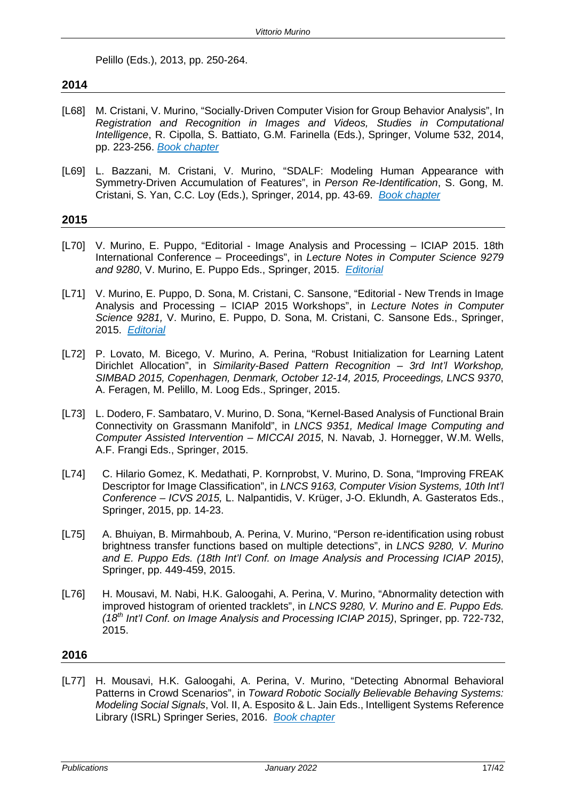Pelillo (Eds.), 2013, pp. 250-264.

# **2014**

- [L68] M. Cristani, V. Murino, "Socially-Driven Computer Vision for Group Behavior Analysis", In *Registration and Recognition in Images and Videos, Studies in Computational Intelligence*, R. Cipolla, S. Battiato, G.M. Farinella (Eds.), Springer, Volume 532, 2014, pp. 223-256. *Book chapter*
- [L69] L. Bazzani, M. Cristani, V. Murino, "SDALF: Modeling Human Appearance with Symmetry-Driven Accumulation of Features", in *Person Re-Identification*, S. Gong, M. Cristani, S. Yan, C.C. Loy (Eds.), Springer, 2014, pp. 43-69. *Book chapter*

# **2015**

- [L70] V. Murino, E. Puppo, "Editorial Image Analysis and Processing ICIAP 2015. 18th International Conference – Proceedings", in *Lecture Notes in Computer Science 9279 and 9280*, V. Murino, E. Puppo Eds., Springer, 2015. *Editorial*
- [L71] V. Murino, E. Puppo, D. Sona, M. Cristani, C. Sansone, "Editorial New Trends in Image Analysis and Processing – ICIAP 2015 Workshops", in *Lecture Notes in Computer Science 9281,* V. Murino, E. Puppo, D. Sona, M. Cristani, C. Sansone Eds., Springer, 2015. *Editorial*
- [L72] P. Lovato, M. Bicego, V. Murino, A. Perina, "Robust Initialization for Learning Latent Dirichlet Allocation", in *Similarity-Based Pattern Recognition – 3rd Int'l Workshop, SIMBAD 2015, Copenhagen, Denmark, October 12-14, 2015, Proceedings, LNCS 9370*, A. Feragen, M. Pelillo, M. Loog Eds., Springer, 2015.
- [L73] L. Dodero, F. Sambataro, V. Murino, D. Sona, "Kernel-Based Analysis of Functional Brain Connectivity on Grassmann Manifold", in *LNCS 9351, Medical Image Computing and Computer Assisted Intervention – MICCAI 2015*, N. Navab, J. Hornegger, W.M. Wells, A.F. Frangi Eds., Springer, 2015.
- [L74] C. Hilario Gomez, K. Medathati, P. Kornprobst, V. Murino, D. Sona, "Improving FREAK Descriptor for Image Classification", in *LNCS 9163, Computer Vision Systems, 10th Int'l Conference – ICVS 2015,* L. Nalpantidis, V. Krüger, J-O. Eklundh, A. Gasteratos Eds., Springer, 2015, pp. 14-23.
- [L75] A. Bhuiyan, B. Mirmahboub, A. Perina, V. Murino, "Person re-identification using robust brightness transfer functions based on multiple detections", in *LNCS 9280, V. Murino and E. Puppo Eds. (18th Int'l Conf. on Image Analysis and Processing ICIAP 2015)*, Springer, pp. 449-459, 2015.
- [L76] H. Mousavi, M. Nabi, H.K. Galoogahi, A. Perina, V. Murino, "Abnormality detection with improved histogram of oriented tracklets", in *LNCS 9280, V. Murino and E. Puppo Eds. (18th Int'l Conf. on Image Analysis and Processing ICIAP 2015)*, Springer, pp. 722-732, 2015.

# **2016**

[L77] H. Mousavi, H.K. Galoogahi, A. Perina, V. Murino, "Detecting Abnormal Behavioral Patterns in Crowd Scenarios", in *Toward Robotic Socially Believable Behaving Systems: Modeling Social Signals*, Vol. II, A. Esposito & L. Jain Eds., Intelligent Systems Reference Library (ISRL) Springer Series, 2016. *Book chapter*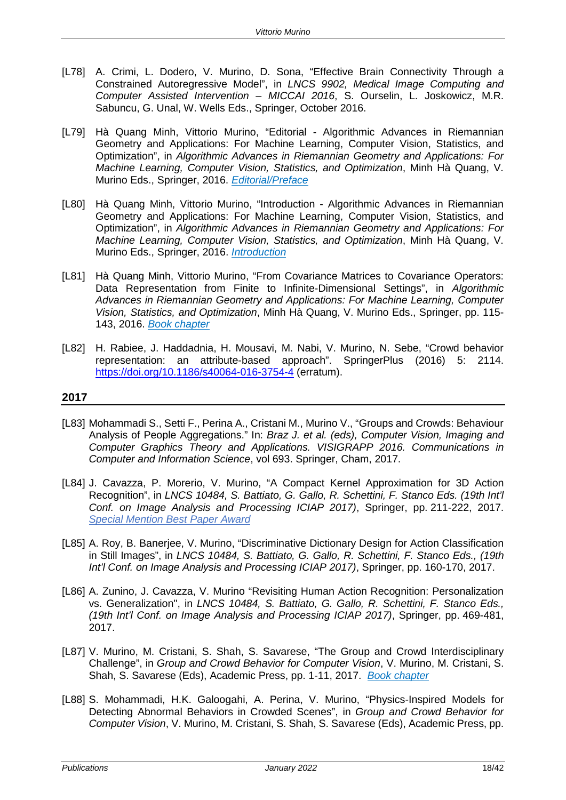- [L78] A. Crimi, L. Dodero, V. Murino, D. Sona, "Effective Brain Connectivity Through a Constrained Autoregressive Model", in *LNCS 9902, Medical Image Computing and Computer Assisted Intervention – MICCAI 2016*, S. Ourselin, L. Joskowicz, M.R. Sabuncu, G. Unal, W. Wells Eds., Springer, October 2016.
- [L79] Hà Quang Minh, Vittorio Murino, "Editorial Algorithmic Advances in Riemannian Geometry and Applications: For Machine Learning, Computer Vision, Statistics, and Optimization", in *Algorithmic Advances in Riemannian Geometry and Applications: For Machine Learning, Computer Vision, Statistics, and Optimization*, Minh Hà Quang, V. Murino Eds., Springer, 2016. *Editorial/Preface*
- [L80] Hà Quang Minh, Vittorio Murino, "Introduction Algorithmic Advances in Riemannian Geometry and Applications: For Machine Learning, Computer Vision, Statistics, and Optimization", in *Algorithmic Advances in Riemannian Geometry and Applications: For Machine Learning, Computer Vision, Statistics, and Optimization*, Minh Hà Quang, V. Murino Eds., Springer, 2016. *Introduction*
- [L81] Hà Quang Minh, Vittorio Murino, "From Covariance Matrices to Covariance Operators: Data Representation from Finite to Infinite-Dimensional Settings", in *Algorithmic Advances in Riemannian Geometry and Applications: For Machine Learning, Computer Vision, Statistics, and Optimization*, Minh Hà Quang, V. Murino Eds., Springer, pp. 115- 143, 2016. *Book chapter*
- [L82] H. Rabiee, J. Haddadnia, H. Mousavi, M. Nabi, V. Murino, N. Sebe, "Crowd behavior representation: an attribute-based approach". SpringerPlus (2016) 5: 2114. <https://doi.org/10.1186/s40064-016-3754-4> (erratum).

- [L83] Mohammadi S., Setti F., Perina A., Cristani M., Murino V., "Groups and Crowds: Behaviour Analysis of People Aggregations." In: *Braz J. et al. (eds), Computer Vision, Imaging and Computer Graphics Theory and Applications. VISIGRAPP 2016. Communications in Computer and Information Science*, vol 693. Springer, Cham, 2017.
- [L84] J. Cavazza, P. Morerio, V. Murino, "A Compact Kernel Approximation for 3D Action Recognition", in *LNCS 10484, S. Battiato, G. Gallo, R. Schettini, F. Stanco Eds. (19th Int'l Conf. on Image Analysis and Processing ICIAP 2017)*, Springer, pp. 211-222, 2017. *Special Mention Best Paper Award*
- [L85] A. Roy, B. Banerjee, V. Murino, "Discriminative Dictionary Design for Action Classification in Still Images", in *LNCS 10484, S. Battiato, G. Gallo, R. Schettini, F. Stanco Eds., (19th Int'l Conf. on Image Analysis and Processing ICIAP 2017)*, Springer, pp. 160-170, 2017.
- [L86] A. Zunino, J. Cavazza, V. Murino "Revisiting Human Action Recognition: Personalization vs. Generalization", in *LNCS 10484, S. Battiato, G. Gallo, R. Schettini, F. Stanco Eds., (19th Int'l Conf. on Image Analysis and Processing ICIAP 2017)*, Springer, pp. 469-481, 2017.
- [L87] V. Murino, M. Cristani, S. Shah, S. Savarese, "The Group and Crowd Interdisciplinary Challenge", in *Group and Crowd Behavior for Computer Vision*, V. Murino, M. Cristani, S. Shah, S. Savarese (Eds), Academic Press, pp. 1-11, 2017. *Book chapter*
- [L88] S. Mohammadi, H.K. Galoogahi, A. Perina, V. Murino, "Physics-Inspired Models for Detecting Abnormal Behaviors in Crowded Scenes", in *Group and Crowd Behavior for Computer Vision*, V. Murino, M. Cristani, S. Shah, S. Savarese (Eds), Academic Press, pp.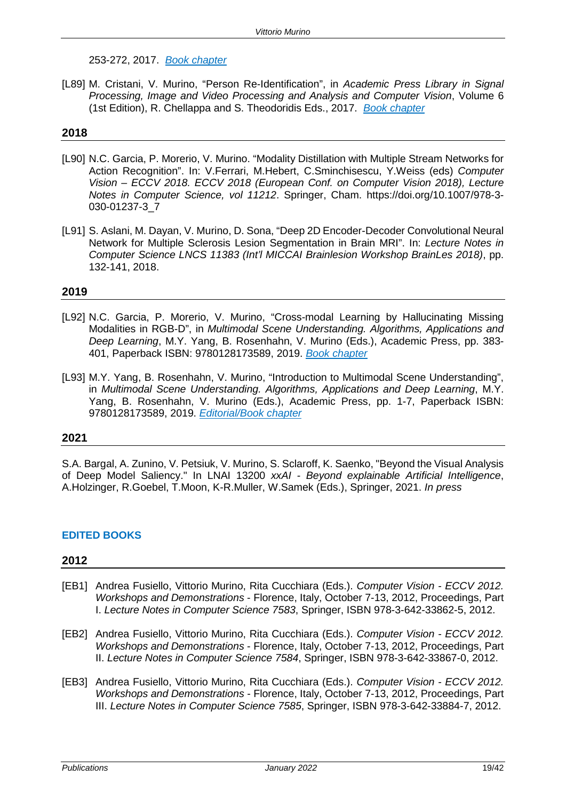253-272, 2017. *Book chapter*

[L89] M. Cristani, V. Murino, "Person Re-Identification", in *Academic Press Library in Signal Processing, Image and Video Processing and Analysis and Computer Vision*, Volume 6 (1st Edition), R. Chellappa and S. Theodoridis Eds., 2017. *Book chapter*

# **2018**

- [L90] N.C. Garcia, P. Morerio, V. Murino. "Modality Distillation with Multiple Stream Networks for Action Recognition". In: V.Ferrari, M.Hebert, C.Sminchisescu, Y.Weiss (eds) *Computer Vision – ECCV 2018. ECCV 2018 (European Conf. on Computer Vision 2018), Lecture Notes in Computer Science, vol 11212*. Springer, Cham. https://doi.org/10.1007/978-3- 030-01237-3\_7
- [L91] S. Aslani, M. Dayan, V. Murino, D. Sona, "Deep 2D Encoder-Decoder Convolutional Neural Network for Multiple Sclerosis Lesion Segmentation in Brain MRI". In: *Lecture Notes in Computer Science LNCS 11383 (Int'l MICCAI Brainlesion Workshop BrainLes 2018)*, pp. 132-141, 2018.

# **2019**

- [L92] N.C. Garcia, P. Morerio, V. Murino, "Cross-modal Learning by Hallucinating Missing Modalities in RGB-D", in *Multimodal Scene Understanding. Algorithms, Applications and Deep Learning*, M.Y. Yang, B. Rosenhahn, V. Murino (Eds.), Academic Press, pp. 383- 401, Paperback ISBN: 9780128173589, 2019. *Book chapter*
- [L93] M.Y. Yang, B. Rosenhahn, V. Murino, "Introduction to Multimodal Scene Understanding", in *Multimodal Scene Understanding. Algorithms, Applications and Deep Learning*, M.Y. Yang, B. Rosenhahn, V. Murino (Eds.), Academic Press, pp. 1-7, Paperback ISBN: 9780128173589, 2019. *Editorial/Book chapter*

# **2021**

S.A. Bargal, A. Zunino, V. Petsiuk, V. Murino, S. Sclaroff, K. Saenko, "Beyond the Visual Analysis of Deep Model Saliency." In LNAI 13200 *xxAI - Beyond explainable Artificial Intelligence*, A.Holzinger, R.Goebel, T.Moon, K-R.Muller, W.Samek (Eds.), Springer, 2021. *In press*

# **EDITED BOOKS**

- [EB1] Andrea Fusiello, Vittorio Murino, Rita Cucchiara (Eds.). *Computer Vision - ECCV 2012. Workshops and Demonstrations* - Florence, Italy, October 7-13, 2012, Proceedings, Part I. *Lecture Notes in Computer Science 7583*, Springer, ISBN 978-3-642-33862-5, 2012.
- [EB2] Andrea Fusiello, Vittorio Murino, Rita Cucchiara (Eds.). *Computer Vision - ECCV 2012. Workshops and Demonstrations* - Florence, Italy, October 7-13, 2012, Proceedings, Part II. *[Lecture Notes in Computer Science](http://www.informatik.uni-trier.de/%7Eley/db/journals/lncs.html) 7584*, [Springer,](http://www.informatik.uni-trier.de/%7Eley/db/conf/eccv/eccv2012w2.html) ISBN 978-3-642-33867-0, 2012.
- [EB3] Andrea Fusiello, Vittorio Murino, Rita Cucchiara (Eds.). *Computer Vision - ECCV 2012. Workshops and Demonstrations* - Florence, Italy, October 7-13, 2012, Proceedings, Part III. *Lecture Notes in Computer Science 7585*, Springer, ISBN 978-3-642-33884-7, 2012.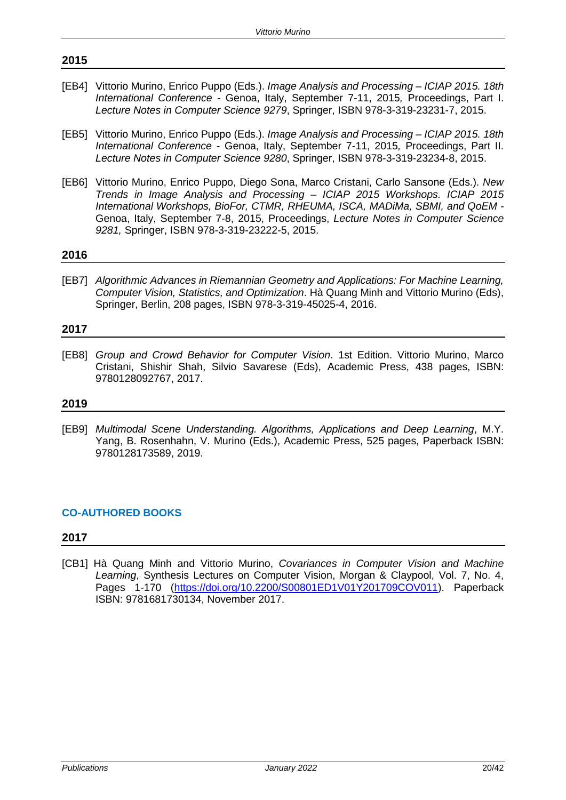- [EB4] Vittorio Murino, Enrico Puppo (Eds.). *Image Analysis and Processing – ICIAP 2015. 18th International Conference -* Genoa, Italy, September 7-11, 2015*,* Proceedings, Part I. *Lecture Notes in Computer Science 9279*, Springer, ISBN 978-3-319-23231-7, 2015.
- [EB5] Vittorio Murino, Enrico Puppo (Eds.). *Image Analysis and Processing – ICIAP 2015. 18th International Conference -* Genoa, Italy, September 7-11, 2015*,* Proceedings, Part II. *Lecture Notes in Computer Science 9280*, Springer, ISBN 978-3-319-23234-8, 2015.
- [EB6] Vittorio Murino, Enrico Puppo, Diego Sona, Marco Cristani, Carlo Sansone (Eds.). *New Trends in Image Analysis and Processing – ICIAP 2015 Workshops. ICIAP 2015 International Workshops, BioFor, CTMR, RHEUMA, ISCA, MADiMa, SBMI, and QoEM -* Genoa, Italy, September 7-8, 2015, Proceedings, *Lecture Notes in Computer Science 9281,* Springer, ISBN 978-3-319-23222-5, 2015.

# **2016**

[EB7] *Algorithmic Advances in Riemannian Geometry and Applications: For Machine Learning, Computer Vision, Statistics, and Optimization*. Hà Quang Minh and Vittorio Murino (Eds), Springer, Berlin, 208 pages, ISBN 978-3-319-45025-4, 2016.

# **2017**

[EB8] *Group and Crowd Behavior for Computer Vision*. 1st Edition. Vittorio Murino, Marco Cristani, Shishir Shah, Silvio Savarese (Eds), Academic Press, 438 pages, ISBN: 9780128092767, 2017.

# **2019**

[EB9] *Multimodal Scene Understanding. Algorithms, Applications and Deep Learning*, M.Y. Yang, B. Rosenhahn, V. Murino (Eds.), Academic Press, 525 pages, Paperback ISBN: 9780128173589, 2019.

# **CO-AUTHORED BOOKS**

# **2017**

[CB1] Hà Quang Minh and Vittorio Murino, *Covariances in Computer Vision and Machine Learning*, Synthesis Lectures on Computer Vision, Morgan & Claypool, Vol. 7, No. 4, Pages 1-170 [\(https://doi.org/10.2200/S00801ED1V01Y201709COV011\)](https://doi.org/10.2200/S00801ED1V01Y201709COV011). Paperback ISBN: 9781681730134, November 2017.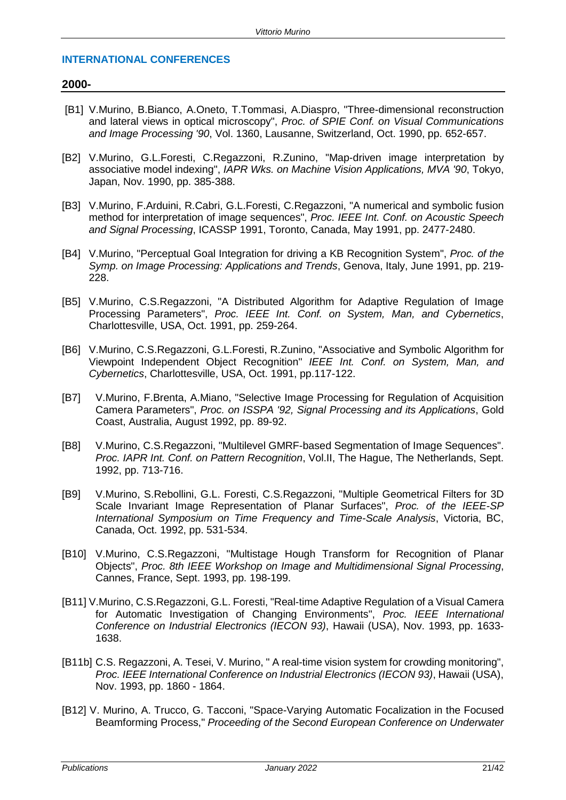# **INTERNATIONAL CONFERENCES**

# **2000-**

- [B1] V.Murino, B.Bianco, A.Oneto, T.Tommasi, A.Diaspro, "Three-dimensional reconstruction and lateral views in optical microscopy", *Proc. of SPIE Conf. on Visual Communications and Image Processing '90*, Vol. 1360, Lausanne, Switzerland, Oct. 1990, pp. 652-657.
- [B2] V.Murino, G.L.Foresti, C.Regazzoni, R.Zunino, "Map-driven image interpretation by associative model indexing", *IAPR Wks. on Machine Vision Applications, MVA '90*, Tokyo, Japan, Nov. 1990, pp. 385-388.
- [B3] V.Murino, F.Arduini, R.Cabri, G.L.Foresti, C.Regazzoni, "A numerical and symbolic fusion method for interpretation of image sequences", *Proc. IEEE Int. Conf. on Acoustic Speech and Signal Processing*, ICASSP 1991, Toronto, Canada, May 1991, pp. 2477-2480.
- [B4] V.Murino, "Perceptual Goal Integration for driving a KB Recognition System", *Proc. of the Symp. on Image Processing: Applications and Trends*, Genova, Italy, June 1991, pp. 219- 228.
- [B5] V.Murino, C.S.Regazzoni, "A Distributed Algorithm for Adaptive Regulation of Image Processing Parameters", *Proc. IEEE Int. Conf. on System, Man, and Cybernetics*, Charlottesville, USA, Oct. 1991, pp. 259-264.
- [B6] V.Murino, C.S.Regazzoni, G.L.Foresti, R.Zunino, "Associative and Symbolic Algorithm for Viewpoint Independent Object Recognition" *IEEE Int. Conf. on System, Man, and Cybernetics*, Charlottesville, USA, Oct. 1991, pp.117-122.
- [B7] V.Murino, F.Brenta, A.Miano, "Selective Image Processing for Regulation of Acquisition Camera Parameters", *Proc. on ISSPA '92, Signal Processing and its Applications*, Gold Coast, Australia, August 1992, pp. 89-92.
- [B8] V.Murino, C.S.Regazzoni, "Multilevel GMRF-based Segmentation of Image Sequences". *Proc. IAPR Int. Conf. on Pattern Recognition*, Vol.II, The Hague, The Netherlands, Sept. 1992, pp. 713-716.
- [B9] V.Murino, S.Rebollini, G.L. Foresti, C.S.Regazzoni, "Multiple Geometrical Filters for 3D Scale Invariant Image Representation of Planar Surfaces", *Proc. of the IEEE-SP International Symposium on Time Frequency and Time-Scale Analysis*, Victoria, BC, Canada, Oct. 1992, pp. 531-534.
- [B10] V.Murino, C.S.Regazzoni, "Multistage Hough Transform for Recognition of Planar Objects", *Proc. 8th IEEE Workshop on Image and Multidimensional Signal Processing*, Cannes, France, Sept. 1993, pp. 198-199.
- [B11] V.Murino, C.S.Regazzoni, G.L. Foresti, "Real-time Adaptive Regulation of a Visual Camera for Automatic Investigation of Changing Environments", *Proc. IEEE International Conference on Industrial Electronics (IECON 93)*, Hawaii (USA), Nov. 1993, pp. 1633- 1638.
- [B11b] C.S. Regazzoni, A. Tesei, V. Murino, " A real-time vision system for crowding monitoring", *Proc. IEEE International Conference on Industrial Electronics (IECON 93)*, Hawaii (USA), Nov. 1993, pp. 1860 - 1864.
- [B12] V. Murino, A. Trucco, G. Tacconi, "Space-Varying Automatic Focalization in the Focused Beamforming Process," *Proceeding of the Second European Conference on Underwater*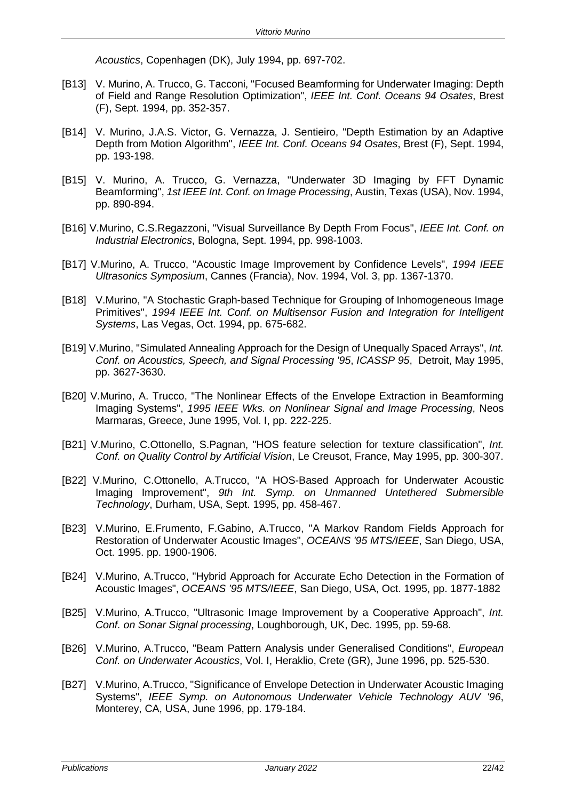*Acoustics*, Copenhagen (DK), July 1994, pp. 697-702.

- [B13] V. Murino, A. Trucco, G. Tacconi, "Focused Beamforming for Underwater Imaging: Depth of Field and Range Resolution Optimization", *IEEE Int. Conf. Oceans 94 Osates*, Brest (F), Sept. 1994, pp. 352-357.
- [B14] V. Murino, J.A.S. Victor, G. Vernazza, J. Sentieiro, "Depth Estimation by an Adaptive Depth from Motion Algorithm", *IEEE Int. Conf. Oceans 94 Osates*, Brest (F), Sept. 1994, pp. 193-198.
- [B15] V. Murino, A. Trucco, G. Vernazza, "Underwater 3D Imaging by FFT Dynamic Beamforming", *1st IEEE Int. Conf. on Image Processing*, Austin, Texas (USA), Nov. 1994, pp. 890-894.
- [B16] V.Murino, C.S.Regazzoni, "Visual Surveillance By Depth From Focus", *IEEE Int. Conf. on Industrial Electronics*, Bologna, Sept. 1994, pp. 998-1003.
- [B17] V.Murino, A. Trucco, "Acoustic Image Improvement by Confidence Levels", *1994 IEEE Ultrasonics Symposium*, Cannes (Francia), Nov. 1994, Vol. 3, pp. 1367-1370.
- [B18] V.Murino, "A Stochastic Graph-based Technique for Grouping of Inhomogeneous Image Primitives", *1994 IEEE Int. Conf. on Multisensor Fusion and Integration for Intelligent Systems*, Las Vegas, Oct. 1994, pp. 675-682.
- [B19] V.Murino, "Simulated Annealing Approach for the Design of Unequally Spaced Arrays", *Int. Conf. on Acoustics, Speech, and Signal Processing '95*, *ICASSP 95*, Detroit, May 1995, pp. 3627-3630.
- [B20] V.Murino, A. Trucco, "The Nonlinear Effects of the Envelope Extraction in Beamforming Imaging Systems", *1995 IEEE Wks. on Nonlinear Signal and Image Processing*, Neos Marmaras, Greece, June 1995, Vol. I, pp. 222-225.
- [B21] V.Murino, C.Ottonello, S.Pagnan, "HOS feature selection for texture classification", *Int. Conf. on Quality Control by Artificial Vision*, Le Creusot, France, May 1995, pp. 300-307.
- [B22] V.Murino, C.Ottonello, A.Trucco, "A HOS-Based Approach for Underwater Acoustic Imaging Improvement", *9th Int. Symp. on Unmanned Untethered Submersible Technology*, Durham, USA, Sept. 1995, pp. 458-467.
- [B23] V.Murino, E.Frumento, F.Gabino, A.Trucco, "A Markov Random Fields Approach for Restoration of Underwater Acoustic Images", *OCEANS '95 MTS/IEEE*, San Diego, USA, Oct. 1995. pp. 1900-1906.
- [B24] V.Murino, A.Trucco, "Hybrid Approach for Accurate Echo Detection in the Formation of Acoustic Images", *OCEANS '95 MTS/IEEE*, San Diego, USA, Oct. 1995, pp. 1877-1882
- [B25] V.Murino, A.Trucco, "Ultrasonic Image Improvement by a Cooperative Approach", *Int. Conf. on Sonar Signal processing*, Loughborough, UK, Dec. 1995, pp. 59-68.
- [B26] V.Murino, A.Trucco, "Beam Pattern Analysis under Generalised Conditions", *European Conf. on Underwater Acoustics*, Vol. I, Heraklio, Crete (GR), June 1996, pp. 525-530.
- [B27] V.Murino, A.Trucco, "Significance of Envelope Detection in Underwater Acoustic Imaging Systems", *IEEE Symp. on Autonomous Underwater Vehicle Technology AUV '96*, Monterey, CA, USA, June 1996, pp. 179-184.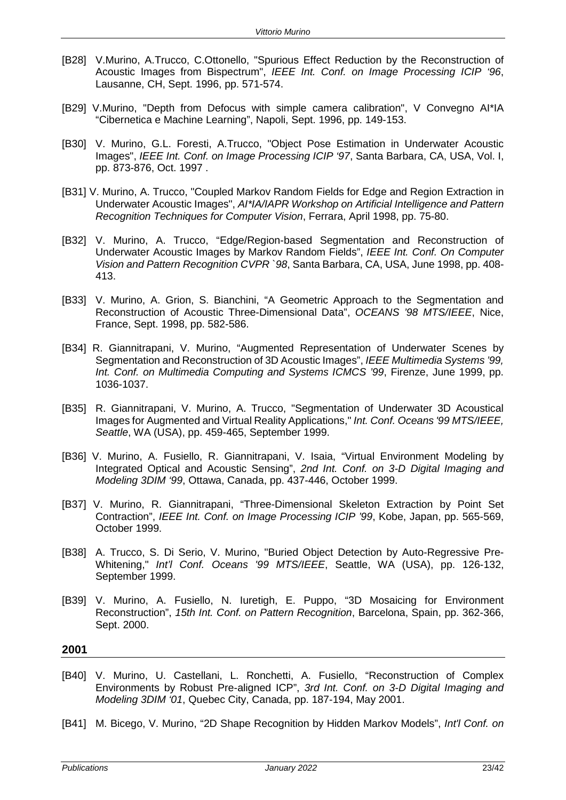- [B28] V.Murino, A.Trucco, C.Ottonello, "Spurious Effect Reduction by the Reconstruction of Acoustic Images from Bispectrum", *IEEE Int. Conf. on Image Processing ICIP '96*, Lausanne, CH, Sept. 1996, pp. 571-574.
- [B29] V.Murino, "Depth from Defocus with simple camera calibration", V Convegno AI\*IA "Cibernetica e Machine Learning", Napoli, Sept. 1996, pp. 149-153.
- [B30] V. Murino, G.L. Foresti, A.Trucco, "Object Pose Estimation in Underwater Acoustic Images", *IEEE Int. Conf. on Image Processing ICIP '97*, Santa Barbara, CA, USA, Vol. I, pp. 873-876, Oct. 1997 .
- [B31] V. Murino, A. Trucco, "Coupled Markov Random Fields for Edge and Region Extraction in Underwater Acoustic Images", *AI\*IA/IAPR Workshop on Artificial Intelligence and Pattern Recognition Techniques for Computer Vision*, Ferrara, April 1998, pp. 75-80.
- [B32] V. Murino, A. Trucco, "Edge/Region-based Segmentation and Reconstruction of Underwater Acoustic Images by Markov Random Fields", *IEEE Int. Conf. On Computer Vision and Pattern Recognition CVPR `98*, Santa Barbara, CA, USA, June 1998, pp. 408- 413.
- [B33] V. Murino, A. Grion, S. Bianchini, "A Geometric Approach to the Segmentation and Reconstruction of Acoustic Three-Dimensional Data", *OCEANS '98 MTS/IEEE*, Nice, France, Sept. 1998, pp. 582-586.
- [B34] R. Giannitrapani, V. Murino, "Augmented Representation of Underwater Scenes by Segmentation and Reconstruction of 3D Acoustic Images", *IEEE Multimedia Systems '99, Int. Conf. on Multimedia Computing and Systems ICMCS '99*, Firenze, June 1999, pp. 1036-1037.
- [B35] R. Giannitrapani, V. Murino, A. Trucco, "Segmentation of Underwater 3D Acoustical Images for Augmented and Virtual Reality Applications," *Int. Conf. Oceans '99 MTS/IEEE, Seattle*, WA (USA), pp. 459-465, September 1999.
- [B36] V. Murino, A. Fusiello, R. Giannitrapani, V. Isaia, "Virtual Environment Modeling by Integrated Optical and Acoustic Sensing", *2nd Int. Conf. on 3-D Digital Imaging and Modeling 3DIM '99*, Ottawa, Canada, pp. 437-446, October 1999.
- [B37] V. Murino, R. Giannitrapani, "Three-Dimensional Skeleton Extraction by Point Set Contraction", *IEEE Int. Conf. on Image Processing ICIP '99*, Kobe, Japan, pp. 565-569, October 1999.
- [B38] A. Trucco, S. Di Serio, V. Murino, "Buried Object Detection by Auto-Regressive Pre-Whitening," *Int'l Conf. Oceans '99 MTS/IEEE*, Seattle, WA (USA), pp. 126-132, September 1999.
- [B39] V. Murino, A. Fusiello, N. Iuretigh, E. Puppo, "3D Mosaicing for Environment Reconstruction", *15th Int. Conf. on Pattern Recognition*, Barcelona, Spain, pp. 362-366, Sept. 2000.

- [B40] V. Murino, U. Castellani, L. Ronchetti, A. Fusiello, "Reconstruction of Complex Environments by Robust Pre-aligned ICP", *3rd Int. Conf. on 3-D Digital Imaging and Modeling 3DIM '01*, Quebec City, Canada, pp. 187-194, May 2001.
- [B41] M. Bicego, V. Murino, "2D Shape Recognition by Hidden Markov Models", *Int'l Conf. on*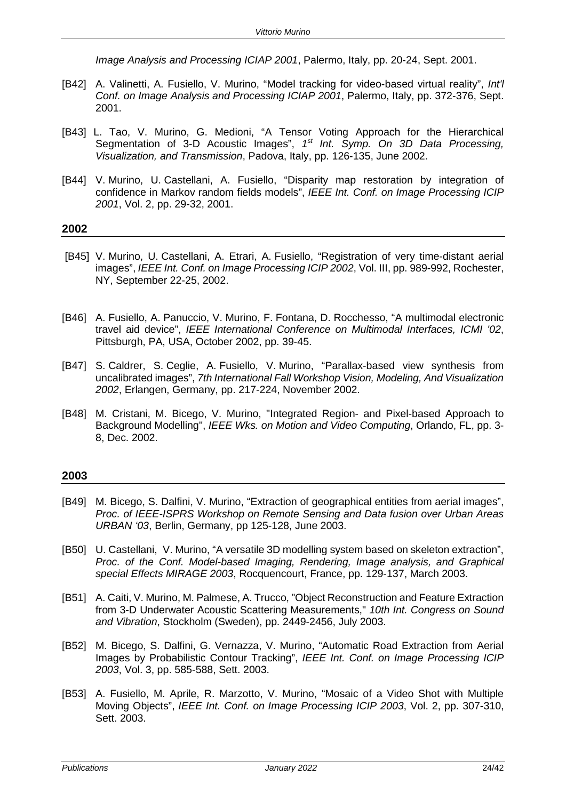*Image Analysis and Processing ICIAP 2001*, Palermo, Italy, pp. 20-24, Sept. 2001.

- [B42] A. Valinetti, A. Fusiello, V. Murino, "Model tracking for video-based virtual reality", *Int'l Conf. on Image Analysis and Processing ICIAP 2001*, Palermo, Italy, pp. 372-376, Sept. 2001.
- [B43] L. Tao, V. Murino, G. Medioni, "A Tensor Voting Approach for the Hierarchical Segmentation of 3-D Acoustic Images", *1st Int. Symp. On 3D Data Processing, Visualization, and Transmission*, Padova, Italy, pp. 126-135, June 2002.
- [B44] V. Murino, U. Castellani, A. Fusiello, "Disparity map restoration by integration of confidence in Markov random fields models", *IEEE Int. Conf. on Image Processing ICIP 2001*, Vol. 2, pp. 29-32, 2001.

#### **2002**

- [B45] V. Murino, U. Castellani, A. Etrari, A. Fusiello, "Registration of very time-distant aerial images", *IEEE Int. Conf. on Image Processing ICIP 2002*, Vol. III, pp. 989-992, Rochester, NY, September 22-25, 2002.
- [B46] A. Fusiello, A. Panuccio, V. Murino, F. Fontana, D. Rocchesso, "A multimodal electronic travel aid device", *IEEE International Conference on Multimodal Interfaces, ICMI '02*, Pittsburgh, PA, USA, October 2002, pp. 39-45.
- [B47] S. Caldrer, S. Ceglie, A. Fusiello, V. Murino, "Parallax-based view synthesis from uncalibrated images", *7th International Fall Workshop Vision, Modeling, And Visualization 2002*, Erlangen, Germany, pp. 217-224, November 2002.
- [B48] M. Cristani, M. Bicego, V. Murino, "Integrated Region- and Pixel-based Approach to Background Modelling", *IEEE Wks. on Motion and Video Computing*, Orlando, FL, pp. 3- 8, Dec. 2002.

- [B49] M. Bicego, S. Dalfini, V. Murino, "Extraction of geographical entities from aerial images", *Proc. of IEEE-ISPRS Workshop on Remote Sensing and Data fusion over Urban Areas URBAN '03*, Berlin, Germany, pp 125-128, June 2003.
- [B50] U. Castellani, V. Murino, "A versatile 3D modelling system based on skeleton extraction", *Proc. of the Conf. Model-based Imaging, Rendering, Image analysis, and Graphical special Effects MIRAGE 2003*, Rocquencourt, France, pp. 129-137, March 2003.
- [B51] A. Caiti, V. Murino, M. Palmese, A. Trucco, "Object Reconstruction and Feature Extraction from 3-D Underwater Acoustic Scattering Measurements," *10th Int. Congress on Sound and Vibration*, Stockholm (Sweden), pp. 2449-2456, July 2003.
- [B52] M. Bicego, S. Dalfini, G. Vernazza, V. Murino, "Automatic Road Extraction from Aerial Images by Probabilistic Contour Tracking", *IEEE Int. Conf. on Image Processing ICIP 2003*, Vol. 3, pp. 585-588, Sett. 2003.
- [B53] A. Fusiello, M. Aprile, R. Marzotto, V. Murino, "Mosaic of a Video Shot with Multiple Moving Objects", *IEEE Int. Conf. on Image Processing ICIP 2003*, Vol. 2, pp. 307-310, Sett. 2003.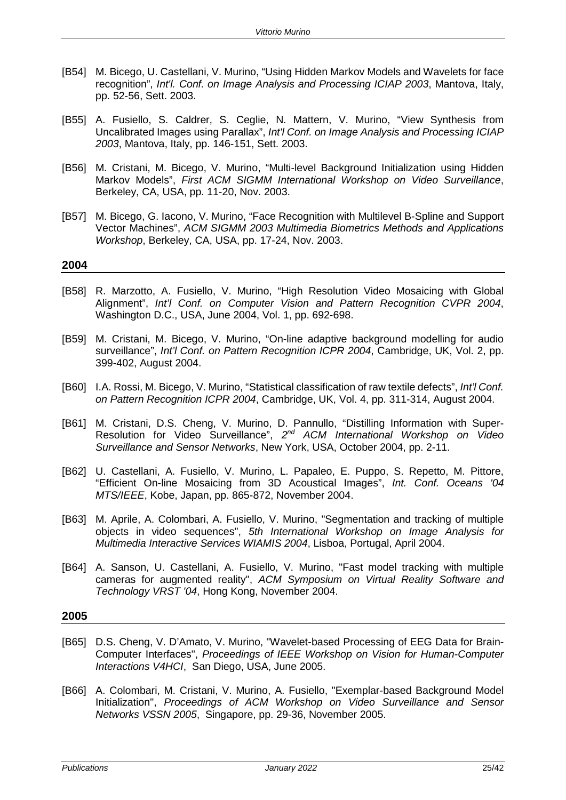- [B54] M. Bicego, U. Castellani, V. Murino, "Using Hidden Markov Models and Wavelets for face recognition", *Int'l. Conf. on Image Analysis and Processing ICIAP 2003*, Mantova, Italy, pp. 52-56, Sett. 2003.
- [B55] A. Fusiello, S. Caldrer, S. Ceglie, N. Mattern, V. Murino, "View Synthesis from Uncalibrated Images using Parallax", *Int'l Conf. on Image Analysis and Processing ICIAP 2003*, Mantova, Italy, pp. 146-151, Sett. 2003.
- [B56] M. Cristani, M. Bicego, V. Murino, "Multi-level Background Initialization using Hidden Markov Models", *First ACM SIGMM International Workshop on Video Surveillance*, Berkeley, CA, USA, pp. 11-20, Nov. 2003.
- [B57] M. Bicego, G. Iacono, V. Murino, "Face Recognition with Multilevel B-Spline and Support Vector Machines", *ACM SIGMM 2003 Multimedia Biometrics Methods and Applications Workshop*, Berkeley, CA, USA, pp. 17-24, Nov. 2003.

- [B58] R. Marzotto, A. Fusiello, V. Murino, "High Resolution Video Mosaicing with Global Alignment", *Int'l Conf. on Computer Vision and Pattern Recognition CVPR 2004*, Washington D.C., USA, June 2004, Vol. 1, pp. 692-698.
- [B59] M. Cristani, M. Bicego, V. Murino, "On-line adaptive background modelling for audio surveillance", *Int'l Conf. on Pattern Recognition ICPR 2004*, Cambridge, UK, Vol. 2, pp. 399-402, August 2004.
- [B60] I.A. Rossi, M. Bicego, V. Murino, "Statistical classification of raw textile defects", *Int'l Conf. on Pattern Recognition ICPR 2004*, Cambridge, UK, Vol. 4, pp. 311-314, August 2004.
- [B61] M. Cristani, D.S. Cheng, V. Murino, D. Pannullo, "Distilling Information with Super-Resolution for Video Surveillance", *2nd ACM International Workshop on Video Surveillance and Sensor Networks*, New York, USA, October 2004, pp. 2-11.
- [B62] U. Castellani, A. Fusiello, V. Murino, L. Papaleo, E. Puppo, S. Repetto, M. Pittore, "Efficient On-line Mosaicing from 3D Acoustical Images", *Int. Conf. Oceans '04 MTS/IEEE*, Kobe, Japan, pp. 865-872, November 2004.
- [B63] M. Aprile, A. Colombari, A. Fusiello, V. Murino, "Segmentation and tracking of multiple objects in video sequences", *5th International Workshop on Image Analysis for Multimedia Interactive Services WIAMIS 2004*, Lisboa, Portugal, April 2004.
- [B64] A. Sanson, U. Castellani, A. Fusiello, V. Murino, "Fast model tracking with multiple cameras for augmented reality", *ACM Symposium on Virtual Reality Software and Technology VRST '04*, Hong Kong, November 2004.

- [B65] D.S. Cheng, V. D'Amato, V. Murino, "Wavelet-based Processing of EEG Data for Brain-Computer Interfaces", *Proceedings of IEEE Workshop on Vision for Human-Computer Interactions V4HCI*, San Diego, USA, June 2005.
- [B66] A. Colombari, M. Cristani, V. Murino, A. Fusiello, "Exemplar-based Background Model Initialization", *Proceedings of ACM Workshop on Video Surveillance and Sensor Networks VSSN 2005*, Singapore, pp. 29-36, November 2005.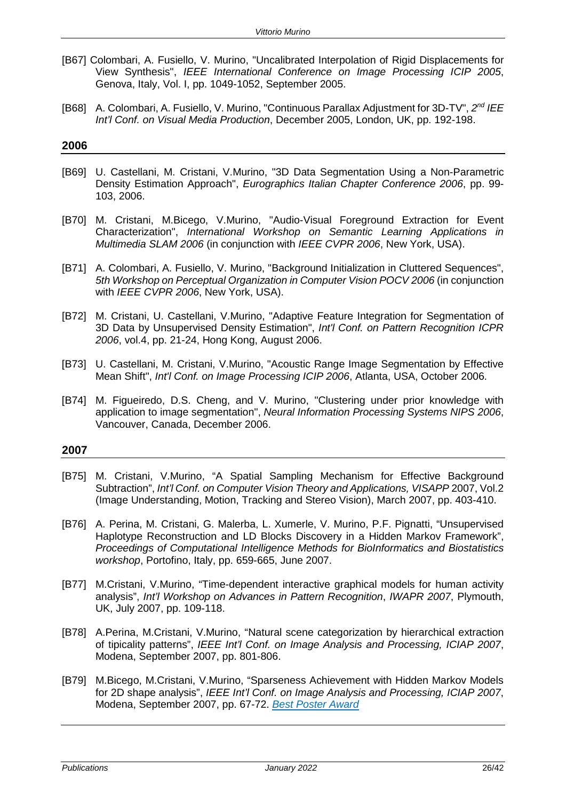- [B67] Colombari, A. Fusiello, V. Murino, "Uncalibrated Interpolation of Rigid Displacements for View Synthesis", *IEEE International Conference on Image Processing ICIP 2005*, Genova, Italy, Vol. I, pp. 1049-1052, September 2005.
- [B68] A. Colombari, A. Fusiello, V. Murino, "Continuous Parallax Adjustment for 3D-TV", *2nd IEE Int'l Conf. on Visual Media Production*, December 2005, London, UK, pp. 192-198.

- [B69] U. Castellani, M. Cristani, V.Murino, "3D Data Segmentation Using a Non-Parametric Density Estimation Approach", *Eurographics Italian Chapter Conference 2006*, pp. 99- 103, 2006.
- [B70] M. Cristani, M.Bicego, V.Murino, "Audio-Visual Foreground Extraction for Event Characterization", *International Workshop on Semantic Learning Applications in Multimedia SLAM 2006* (in conjunction with *IEEE CVPR 2006*, New York, USA).
- [B71] A. Colombari, A. Fusiello, V. Murino, "Background Initialization in Cluttered Sequences", *5th Workshop on Perceptual Organization in Computer Vision POCV 2006* (in conjunction with *IEEE CVPR 2006*, New York, USA).
- [B72] M. Cristani, U. Castellani, V.Murino, "Adaptive Feature Integration for Segmentation of 3D Data by Unsupervised Density Estimation", *Int'l Conf. on Pattern Recognition ICPR 2006*, vol.4, pp. 21-24, Hong Kong, August 2006.
- [B73] U. Castellani, M. Cristani, V.Murino, "Acoustic Range Image Segmentation by Effective Mean Shift", *Int'l Conf. on Image Processing ICIP 2006*, Atlanta, USA, October 2006.
- [B74] M. Figueiredo, D.S. Cheng, and V. Murino, "Clustering under prior knowledge with application to image segmentation", *Neural Information Processing Systems NIPS 2006*, Vancouver, Canada, December 2006.

- [B75] M. Cristani, V.Murino, "A Spatial Sampling Mechanism for Effective Background Subtraction", *Int'l Conf. on Computer Vision Theory and Applications, VISAPP* 2007, Vol.2 (Image Understanding, Motion, Tracking and Stereo Vision), March 2007, pp. 403-410.
- [B76] A. Perina, M. Cristani, G. Malerba, L. Xumerle, V. Murino, P.F. Pignatti, "Unsupervised Haplotype Reconstruction and LD Blocks Discovery in a Hidden Markov Framework", *Proceedings of Computational Intelligence Methods for BioInformatics and Biostatistics workshop*, Portofino, Italy, pp. 659-665, June 2007.
- [B77] M.Cristani, V.Murino, "Time-dependent interactive graphical models for human activity analysis", *Int'l Workshop on Advances in Pattern Recognition*, *IWAPR 2007*, Plymouth, UK, July 2007, pp. 109-118.
- [B78] A.Perina, M.Cristani, V.Murino, "Natural scene categorization by hierarchical extraction of tipicality patterns", *IEEE Int'l Conf. on Image Analysis and Processing, ICIAP 2007*, Modena, September 2007, pp. 801-806.
- [B79] M.Bicego, M.Cristani, V.Murino, "Sparseness Achievement with Hidden Markov Models for 2D shape analysis", *IEEE Int'l Conf. on Image Analysis and Processing, ICIAP 2007*, Modena, September 2007, pp. 67-72. *Best Poster Award*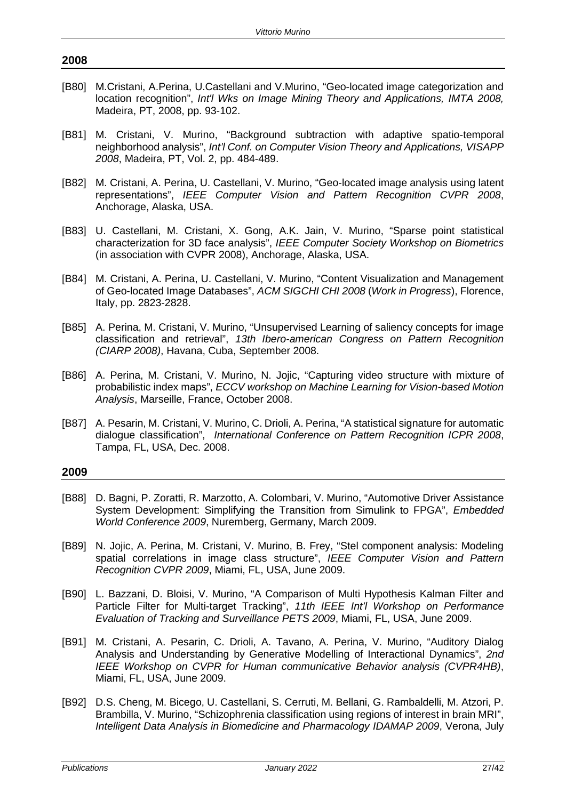- [B80] M.Cristani, A.Perina, U.Castellani and V.Murino, "Geo-located image categorization and location recognition", *Int'l Wks on Image Mining Theory and Applications, IMTA 2008,*  Madeira, PT, 2008, pp. 93-102.
- [B81] M. Cristani, V. Murino, "Background subtraction with adaptive spatio-temporal neighborhood analysis", *Int'l Conf. on Computer Vision Theory and Applications, VISAPP 2008*, Madeira, PT, Vol. 2, pp. 484-489.
- [B82] M. Cristani, A. Perina, U. Castellani, V. Murino, "Geo-located image analysis using latent representations", *IEEE Computer Vision and Pattern Recognition CVPR 2008*, Anchorage, Alaska, USA.
- [B83] U. Castellani, M. Cristani, X. Gong, A.K. Jain, V. Murino, "Sparse point statistical characterization for 3D face analysis", *IEEE Computer Society Workshop on Biometrics* (in association with CVPR 2008), Anchorage, Alaska, USA.
- [B84] M. Cristani, A. Perina, U. Castellani, V. Murino, "Content Visualization and Management of Geo-located Image Databases", *ACM SIGCHI CHI 2008* (*Work in Progress*), Florence, Italy, pp. 2823-2828.
- [B85] A. Perina, M. Cristani, V. Murino, "Unsupervised Learning of saliency concepts for image classification and retrieval", *13th Ibero-american Congress on Pattern Recognition (CIARP 2008)*, Havana, Cuba, September 2008.
- [B86] A. Perina, M. Cristani, V. Murino, N. Jojic, "Capturing video structure with mixture of probabilistic index maps", *ECCV workshop on Machine Learning for Vision-based Motion Analysis*, Marseille, France, October 2008.
- [B87] A. Pesarin, M. Cristani, V. Murino, C. Drioli, A. Perina, "A statistical signature for automatic dialogue classification", *International Conference on Pattern Recognition ICPR 2008*, Tampa, FL, USA, Dec. 2008.

- [B88] D. Bagni, P. Zoratti, R. Marzotto, A. Colombari, V. Murino, "Automotive Driver Assistance System Development: Simplifying the Transition from Simulink to FPGA", *Embedded World Conference 2009*, Nuremberg, Germany, March 2009.
- [B89] N. Jojic, A. Perina, M. Cristani, V. Murino, B. Frey, "Stel component analysis: Modeling spatial correlations in image class structure", *IEEE Computer Vision and Pattern Recognition CVPR 2009*, Miami, FL, USA, June 2009.
- [B90] L. Bazzani, D. Bloisi, V. Murino, "A Comparison of Multi Hypothesis Kalman Filter and Particle Filter for Multi-target Tracking", *11th IEEE Int'l Workshop on Performance Evaluation of Tracking and Surveillance PETS 2009*, Miami, FL, USA, June 2009.
- [B91] M. Cristani, A. Pesarin, C. Drioli, A. Tavano, A. Perina, V. Murino, "Auditory Dialog Analysis and Understanding by Generative Modelling of Interactional Dynamics", *2nd IEEE Workshop on CVPR for Human communicative Behavior analysis (CVPR4HB)*, Miami, FL, USA, June 2009.
- [B92] D.S. Cheng, M. Bicego, U. Castellani, S. Cerruti, M. Bellani, G. Rambaldelli, M. Atzori, P. Brambilla, V. Murino, "Schizophrenia classification using regions of interest in brain MRI", *Intelligent Data Analysis in Biomedicine and Pharmacology IDAMAP 2009*, Verona, July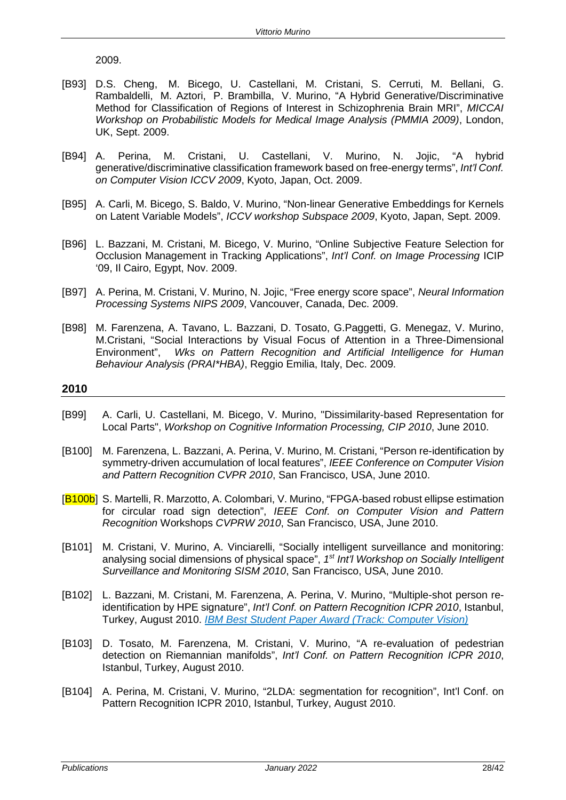2009.

- [B93] D.S. Cheng, M. Bicego, U. Castellani, M. Cristani, S. Cerruti, M. Bellani, G. Rambaldelli, M. Aztori, P. Brambilla, V. Murino, "A Hybrid Generative/Discriminative Method for Classification of Regions of Interest in Schizophrenia Brain MRI", *MICCAI Workshop on Probabilistic Models for Medical Image Analysis (PMMIA 2009)*, London, UK, Sept. 2009.
- [B94] A. Perina, M. Cristani, U. Castellani, V. Murino, N. Jojic, "A hybrid generative/discriminative classification framework based on free-energy terms", *Int'l Conf. on Computer Vision ICCV 2009*, Kyoto, Japan, Oct. 2009.
- [B95] A. Carli, M. Bicego, S. Baldo, V. Murino, "Non-linear Generative Embeddings for Kernels on Latent Variable Models", *ICCV workshop Subspace 2009*, Kyoto, Japan, Sept. 2009.
- [B96] L. Bazzani, M. Cristani, M. Bicego, V. Murino, "Online Subjective Feature Selection for Occlusion Management in Tracking Applications", *Int'l Conf. on Image Processing* ICIP '09, Il Cairo, Egypt, Nov. 2009.
- [B97] A. Perina, M. Cristani, V. Murino, N. Jojic, "Free energy score space", *Neural Information Processing Systems NIPS 2009*, Vancouver, Canada, Dec. 2009.
- [B98] M. Farenzena, A. Tavano, L. Bazzani, D. Tosato, G.Paggetti, G. Menegaz, V. Murino, M.Cristani, "Social Interactions by Visual Focus of Attention in a Three-Dimensional Environment", *Wks on Pattern Recognition and Artificial Intelligence for Human Behaviour Analysis (PRAI\*HBA)*, Reggio Emilia, Italy, Dec. 2009.

- [B99] A. Carli, U. Castellani, M. Bicego, V. Murino, "Dissimilarity-based Representation for Local Parts", *Workshop on Cognitive Information Processing, CIP 2010*, June 2010.
- [B100] M. Farenzena, L. Bazzani, A. Perina, V. Murino, M. Cristani, "Person re-identification by symmetry-driven accumulation of local features", *IEEE Conference on Computer Vision and Pattern Recognition CVPR 2010*, San Francisco, USA, June 2010.
- [B100b] S. Martelli, R. Marzotto, A. Colombari, V. Murino, "FPGA-based robust ellipse estimation for circular road sign detection", *IEEE Conf. on Computer Vision and Pattern Recognition* Workshops *CVPRW 2010*, San Francisco, USA, June 2010.
- [B101] M. Cristani, V. Murino, A. Vinciarelli, "Socially intelligent surveillance and monitoring: analysing social dimensions of physical space", *1st Int'l Workshop on Socially Intelligent Surveillance and Monitoring SISM 2010*, San Francisco, USA, June 2010.
- [B102] L. Bazzani, M. Cristani, M. Farenzena, A. Perina, V. Murino, "Multiple-shot person reidentification by HPE signature", *Int'l Conf. on Pattern Recognition ICPR 2010*, Istanbul, Turkey, August 2010. *IBM Best Student Paper Award (Track: Computer Vision)*
- [B103] D. Tosato, M. Farenzena, M. Cristani, V. Murino, "A re-evaluation of pedestrian detection on Riemannian manifolds", *Int'l Conf. on Pattern Recognition ICPR 2010*, Istanbul, Turkey, August 2010.
- [B104] A. Perina, M. Cristani, V. Murino, "2LDA: segmentation for recognition", Int'l Conf. on Pattern Recognition ICPR 2010, Istanbul, Turkey, August 2010.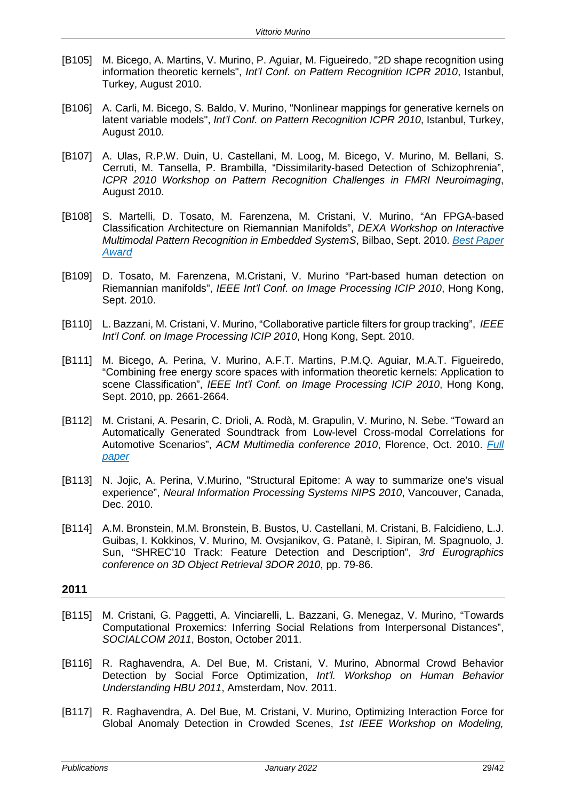- [B105] M. Bicego, A. Martins, V. Murino, P. Aguiar, M. Figueiredo, "2D shape recognition using information theoretic kernels", *Int'l Conf. on Pattern Recognition ICPR 2010*, Istanbul, Turkey, August 2010.
- [B106] A. Carli, M. Bicego, S. Baldo, V. Murino, "Nonlinear mappings for generative kernels on latent variable models", *Int'l Conf. on Pattern Recognition ICPR 2010*, Istanbul, Turkey, August 2010.
- [B107] A. Ulas, R.P.W. Duin, U. Castellani, M. Loog, M. Bicego, V. Murino, M. Bellani, S. Cerruti, M. Tansella, P. Brambilla, "Dissimilarity-based Detection of Schizophrenia", *ICPR 2010 Workshop on Pattern Recognition Challenges in FMRI Neuroimaging*, August 2010.
- [B108] S. Martelli, D. Tosato, M. Farenzena, M. Cristani, V. Murino, "An FPGA-based Classification Architecture on Riemannian Manifolds", *DEXA Workshop on Interactive Multimodal Pattern Recognition in Embedded SystemS*, Bilbao, Sept. 2010. *Best Paper Award*
- [B109] D. Tosato, M. Farenzena, M.Cristani, V. Murino "Part-based human detection on Riemannian manifolds", *IEEE Int'l Conf. on Image Processing ICIP 2010*, Hong Kong, Sept. 2010.
- [B110] L. Bazzani, M. Cristani, V. Murino, "Collaborative particle filters for group tracking", *IEEE Int'l Conf. on Image Processing ICIP 2010*, Hong Kong, Sept. 2010.
- [B111] M. Bicego, A. Perina, V. Murino, A.F.T. Martins, P.M.Q. Aguiar, M.A.T. Figueiredo, "Combining free energy score spaces with information theoretic kernels: Application to scene Classification", *IEEE Int'l Conf. on Image Processing ICIP 2010*, Hong Kong, Sept. 2010, pp. 2661-2664.
- [B112] M. Cristani, A. Pesarin, C. Drioli, A. Rodà, M. Grapulin, V. Murino, N. Sebe. "Toward an Automatically Generated Soundtrack from Low-level Cross-modal Correlations for Automotive Scenarios", *ACM Multimedia conference 2010*, Florence, Oct. 2010. *Full paper*
- [B113] N. Jojic, A. Perina, V.Murino, "Structural Epitome: A way to summarize one's visual experience", *Neural Information Processing Systems NIPS 2010*, Vancouver, Canada, Dec. 2010.
- [B114] A.M. Bronstein, M.M. Bronstein, B. Bustos, U. Castellani, M. Cristani, B. Falcidieno, L.J. Guibas, I. Kokkinos, V. Murino, M. Ovsjanikov, G. Patanè, I. Sipiran, M. Spagnuolo, J. Sun, "SHREC'10 Track: Feature Detection and Description", *3rd Eurographics conference on 3D Object Retrieval 3DOR 2010*, pp. 79-86.

- [B115] M. Cristani, G. Paggetti, A. Vinciarelli, L. Bazzani, G. Menegaz, V. Murino, "Towards Computational Proxemics: Inferring Social Relations from Interpersonal Distances", *SOCIALCOM 2011*, Boston, October 2011.
- [B116] R. Raghavendra, A. Del Bue, M. Cristani, V. Murino, Abnormal Crowd Behavior Detection by Social Force Optimization, *Int'l. Workshop on Human Behavior Understanding HBU 2011*, Amsterdam, Nov. 2011.
- [B117] R. Raghavendra, A. Del Bue, M. Cristani, V. Murino, Optimizing Interaction Force for Global Anomaly Detection in Crowded Scenes, *1st IEEE Workshop on Modeling,*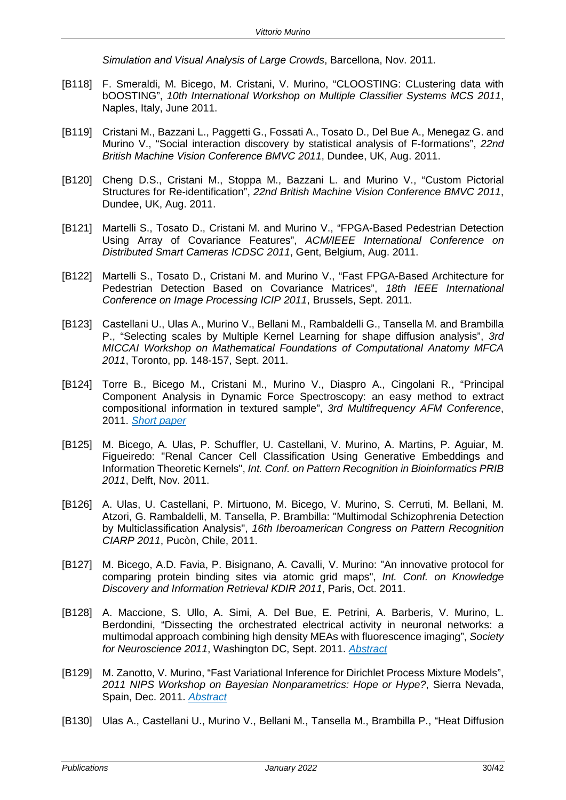*Simulation and Visual Analysis of Large Crowds*, Barcellona, Nov. 2011.

- [B118] F. Smeraldi, M. Bicego, M. Cristani, V. Murino, "CLOOSTING: CLustering data with bOOSTING", *10th International Workshop on Multiple Classifier Systems MCS 2011*, Naples, Italy, June 2011.
- [B119] Cristani M., Bazzani L., Paggetti G., Fossati A., Tosato D., Del Bue A., Menegaz G. and Murino V., "Social interaction discovery by statistical analysis of F-formations", *22nd British Machine Vision Conference BMVC 2011*, Dundee, UK, Aug. 2011.
- [B120] Cheng D.S., Cristani M., Stoppa M., Bazzani L. and Murino V., "Custom Pictorial Structures for Re-identification", *22nd British Machine Vision Conference BMVC 2011*, Dundee, UK, Aug. 2011.
- [B121] Martelli S., Tosato D., Cristani M. and Murino V., "FPGA-Based Pedestrian Detection Using Array of Covariance Features", *ACM/IEEE International Conference on Distributed Smart Cameras ICDSC 2011*, Gent, Belgium, Aug. 2011.
- [B122] Martelli S., Tosato D., Cristani M. and Murino V., "Fast FPGA-Based Architecture for Pedestrian Detection Based on Covariance Matrices", *18th IEEE International Conference on Image Processing ICIP 2011*, Brussels, Sept. 2011.
- [B123] Castellani U., Ulas A., Murino V., Bellani M., Rambaldelli G., Tansella M. and Brambilla P., "Selecting scales by Multiple Kernel Learning for shape diffusion analysis", *3rd MICCAI Workshop on Mathematical Foundations of Computational Anatomy MFCA 2011*, Toronto, pp. 148-157, Sept. 2011.
- [B124] Torre B., Bicego M., Cristani M., Murino V., Diaspro A., Cingolani R., "Principal Component Analysis in Dynamic Force Spectroscopy: an easy method to extract compositional information in textured sample", *3rd Multifrequency AFM Conference*, 2011. *Short paper*
- [B125] M. Bicego, A. Ulas, P. Schuffler, U. Castellani, V. Murino, A. Martins, P. Aguiar, M. Figueiredo: "Renal Cancer Cell Classification Using Generative Embeddings and Information Theoretic Kernels", *Int. Conf. on Pattern Recognition in Bioinformatics PRIB 2011*, Delft, Nov. 2011.
- [B126] A. Ulas, U. Castellani, P. Mirtuono, M. Bicego, V. Murino, S. Cerruti, M. Bellani, M. Atzori, G. Rambaldelli, M. Tansella, P. Brambilla: "Multimodal Schizophrenia Detection by Multiclassification Analysis", *16th Iberoamerican Congress on Pattern Recognition CIARP 2011*, Pucòn, Chile, 2011.
- [B127] M. Bicego, A.D. Favia, P. Bisignano, A. Cavalli, V. Murino: "An innovative protocol for comparing protein binding sites via atomic grid maps", *Int. Conf. on Knowledge Discovery and Information Retrieval KDIR 2011*, Paris, Oct. 2011.
- [B128] A. Maccione, S. Ullo, A. Simi, A. Del Bue, E. Petrini, A. Barberis, V. Murino, L. Berdondini, "Dissecting the orchestrated electrical activity in neuronal networks: a multimodal approach combining high density MEAs with fluorescence imaging", *Society for Neuroscience 2011*, Washington DC, Sept. 2011. *Abstract*
- [B129] M. Zanotto, V. Murino, "Fast Variational Inference for Dirichlet Process Mixture Models", *2011 NIPS Workshop on Bayesian Nonparametrics: Hope or Hype?*, Sierra Nevada, Spain, Dec. 2011. *Abstract*
- [B130] Ulas A., Castellani U., Murino V., Bellani M., Tansella M., Brambilla P., "Heat Diffusion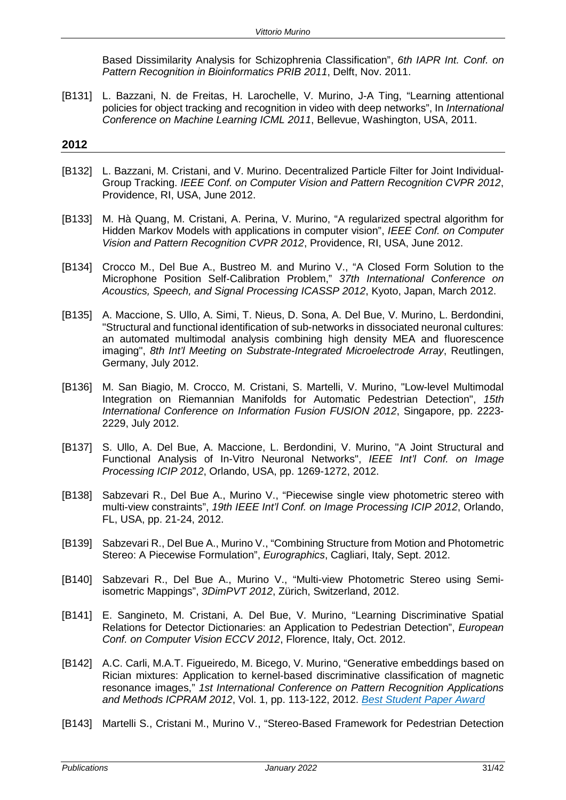Based Dissimilarity Analysis for Schizophrenia Classification", *6th IAPR Int. Conf. on Pattern Recognition in Bioinformatics PRIB 2011*, Delft, Nov. 2011.

[B131] L. Bazzani, N. de Freitas, H. Larochelle, V. Murino, J-A Ting, "Learning attentional policies for object tracking and recognition in video with deep networks", In *International Conference on Machine Learning ICML 2011*, Bellevue, Washington, USA, 2011.

- [B132] L. Bazzani, M. Cristani, and V. Murino. Decentralized Particle Filter for Joint Individual-Group Tracking. *IEEE Conf. on Computer Vision and Pattern Recognition CVPR 2012*, Providence, RI, USA, June 2012.
- [B133] M. Hà Quang, M. Cristani, A. Perina, V. Murino, "A regularized spectral algorithm for Hidden Markov Models with applications in computer vision", *IEEE Conf. on Computer Vision and Pattern Recognition CVPR 2012*, Providence, RI, USA, June 2012.
- [B134] Crocco M., Del Bue A., Bustreo M. and Murino V., "A Closed Form Solution to the Microphone Position Self-Calibration Problem," *37th International Conference on Acoustics, Speech, and Signal Processing ICASSP 2012*, Kyoto, Japan, March 2012.
- [B135] A. Maccione, S. Ullo, A. Simi, T. Nieus, D. Sona, A. Del Bue, V. Murino, L. Berdondini, "Structural and functional identification of sub-networks in dissociated neuronal cultures: an automated multimodal analysis combining high density MEA and fluorescence imaging", *8th Int'l Meeting on Substrate-Integrated Microelectrode Array*, Reutlingen, Germany, July 2012.
- [B136] M. San Biagio, M. Crocco, M. Cristani, S. Martelli, V. Murino, "Low-level Multimodal Integration on Riemannian Manifolds for Automatic Pedestrian Detection", *15th International Conference on Information Fusion FUSION 2012*, Singapore, pp. 2223- 2229, July 2012.
- [B137] S. Ullo, A. Del Bue, A. Maccione, L. Berdondini, V. Murino, "A Joint Structural and Functional Analysis of In-Vitro Neuronal Networks", *IEEE Int'l Conf. on Image Processing ICIP 2012*, Orlando, USA, pp. 1269-1272, 2012.
- [B138] Sabzevari R., Del Bue A., Murino V., "Piecewise single view photometric stereo with multi-view constraints", *19th IEEE Int'l Conf. on Image Processing ICIP 2012*, Orlando, FL, USA, pp. 21-24, 2012.
- [B139] Sabzevari R., Del Bue A., Murino V., "Combining Structure from Motion and Photometric Stereo: A Piecewise Formulation", *Eurographics*, Cagliari, Italy, Sept. 2012.
- [B140] Sabzevari R., Del Bue A., Murino V., "Multi-view Photometric Stereo using Semiisometric Mappings", *3DimPVT 2012*, Zürich, Switzerland, 2012.
- [B141] E. Sangineto, M. Cristani, A. Del Bue, V. Murino, "Learning Discriminative Spatial Relations for Detector Dictionaries: an Application to Pedestrian Detection", *European Conf. on Computer Vision ECCV 2012*, Florence, Italy, Oct. 2012.
- [B142] A.C. Carli, M.A.T. Figueiredo, M. Bicego, V. Murino, "Generative embeddings based on Rician mixtures: Application to kernel-based discriminative classification of magnetic resonance images," *1st International Conference on Pattern Recognition Applications and Methods ICPRAM 2012*, Vol. 1, pp. 113-122, 2012. *Best Student Paper Award*
- [B143] Martelli S., Cristani M., Murino V., "Stereo-Based Framework for Pedestrian Detection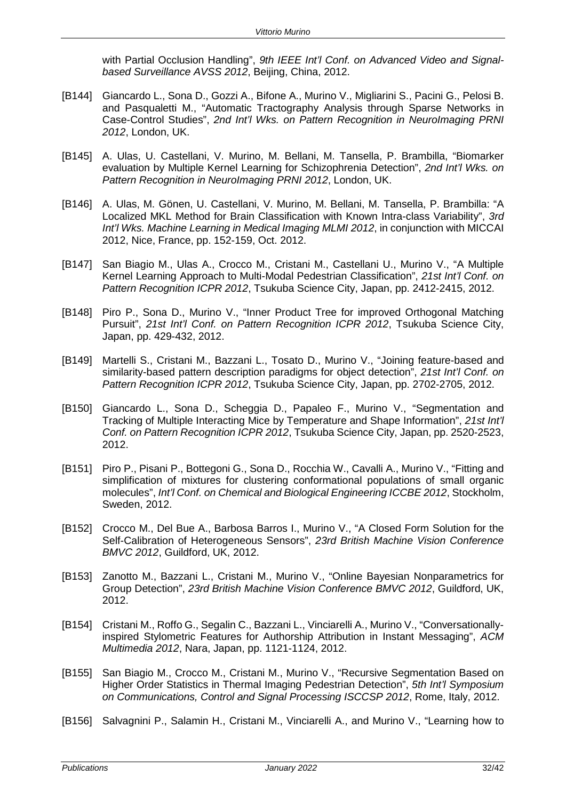with Partial Occlusion Handling", *9th IEEE Int'l Conf. on Advanced Video and Signalbased Surveillance AVSS 2012*, Beijing, China, 2012.

- [B144] Giancardo L., Sona D., Gozzi A., Bifone A., Murino V., Migliarini S., Pacini G., Pelosi B. and Pasqualetti M., "Automatic Tractography Analysis through Sparse Networks in Case-Control Studies", *2nd Int'l Wks. on Pattern Recognition in NeuroImaging PRNI 2012*, London, UK.
- [B145] A. Ulas, U. Castellani, V. Murino, M. Bellani, M. Tansella, P. Brambilla, "Biomarker evaluation by Multiple Kernel Learning for Schizophrenia Detection", *2nd Int'l Wks. on Pattern Recognition in NeuroImaging PRNI 2012*, London, UK.
- [B146] A. Ulas, M. Gönen, U. Castellani, V. Murino, M. Bellani, M. Tansella, P. Brambilla: "A Localized MKL Method for Brain Classification with Known Intra-class Variability", *3rd Int'l Wks. Machine Learning in Medical Imaging MLMI 2012*, in conjunction with MICCAI 2012, Nice, France, pp. 152-159, Oct. 2012.
- [B147] San Biagio M., Ulas A., Crocco M., Cristani M., Castellani U., Murino V., "A Multiple Kernel Learning Approach to Multi-Modal Pedestrian Classification", *21st Int'l Conf. on Pattern Recognition ICPR 2012*, Tsukuba Science City, Japan, pp. 2412-2415, 2012.
- [B148] Piro P., Sona D., Murino V., "Inner Product Tree for improved Orthogonal Matching Pursuit", *21st Int'l Conf. on Pattern Recognition ICPR 2012*, Tsukuba Science City, Japan, pp. 429-432, 2012.
- [B149] Martelli S., Cristani M., Bazzani L., Tosato D., Murino V., "Joining feature-based and similarity-based pattern description paradigms for object detection", *21st Int'l Conf. on Pattern Recognition ICPR 2012*, Tsukuba Science City, Japan, pp. 2702-2705, 2012.
- [B150] Giancardo L., Sona D., Scheggia D., Papaleo F., Murino V., "Segmentation and Tracking of Multiple Interacting Mice by Temperature and Shape Information", *21st Int'l Conf. on Pattern Recognition ICPR 2012*, Tsukuba Science City, Japan, pp. 2520-2523, 2012.
- [B151] Piro P., Pisani P., Bottegoni G., Sona D., Rocchia W., Cavalli A., Murino V., "Fitting and simplification of mixtures for clustering conformational populations of small organic molecules", *Int'l Conf. on Chemical and Biological Engineering ICCBE 2012*, Stockholm, Sweden, 2012.
- [B152] Crocco M., Del Bue A., Barbosa Barros I., Murino V., "A Closed Form Solution for the Self-Calibration of Heterogeneous Sensors", *23rd British Machine Vision Conference BMVC 2012*, Guildford, UK, 2012.
- [B153] Zanotto M., Bazzani L., Cristani M., Murino V., "Online Bayesian Nonparametrics for Group Detection", *23rd British Machine Vision Conference BMVC 2012*, Guildford, UK, 2012.
- [B154] Cristani M., Roffo G., Segalin C., Bazzani L., Vinciarelli A., Murino V., "Conversationallyinspired Stylometric Features for Authorship Attribution in Instant Messaging", *ACM Multimedia 2012*, Nara, Japan, pp. 1121-1124, 2012.
- [B155] San Biagio M., Crocco M., Cristani M., Murino V., "Recursive Segmentation Based on Higher Order Statistics in Thermal Imaging Pedestrian Detection", *5th Int'l Symposium on Communications, Control and Signal Processing ISCCSP 2012*, Rome, Italy, 2012.
- [B156] Salvagnini P., Salamin H., Cristani M., Vinciarelli A., and Murino V., "Learning how to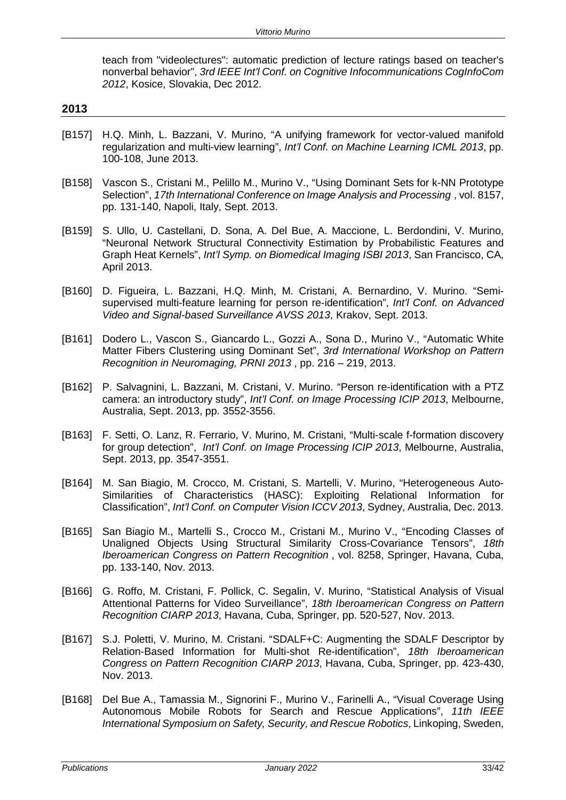teach from "videolectures": automatic prediction of lecture ratings based on teacher's nonverbal behavior", *3rd IEEE Int'l Conf. on Cognitive Infocommunications CogInfoCom 2012*, Kosice, Slovakia, Dec 2012.

- [B157] H.Q. Minh, L. Bazzani, V. Murino, "A unifying framework for vector-valued manifold regularization and multi-view learning", *Int'l Conf. on Machine Learning ICML 2013*, pp. 100-108, June 2013.
- [B158] Vascon S., Cristani M., Pelillo M., Murino V., "Using Dominant Sets for k-NN Prototype Selection", *17th International Conference on Image Analysis and Processing* , vol. 8157, pp. 131-140, Napoli, Italy, Sept. 2013.
- [B159] S. Ullo, U. Castellani, D. Sona, A. Del Bue, A. Maccione, L. Berdondini, V. Murino, "Neuronal Network Structural Connectivity Estimation by Probabilistic Features and Graph Heat Kernels", *Int'l Symp. on Biomedical Imaging ISBI 2013*, San Francisco, CA, April 2013.
- [B160] D. Figueira, L. Bazzani, H.Q. Minh, M. Cristani, A. Bernardino, V. Murino. "Semisupervised multi-feature learning for person re-identification", *Int'l Conf. on Advanced Video and Signal-based Surveillance AVSS 2013*, Krakov, Sept. 2013.
- [B161] Dodero L., Vascon S., Giancardo L., Gozzi A., Sona D., Murino V., "Automatic White Matter Fibers Clustering using Dominant Set", *3rd International Workshop on Pattern Recognition in Neuromaging, PRNI 2013* , pp. 216 – 219, 2013.
- [B162] P. Salvagnini, L. Bazzani, M. Cristani, V. Murino. "Person re-identification with a PTZ camera: an introductory study", *Int'l Conf. on Image Processing ICIP 2013*, Melbourne, Australia, Sept. 2013, pp. 3552-3556.
- [B163] F. Setti, O. Lanz, R. Ferrario, V. Murino, M. Cristani, "Multi-scale f-formation discovery for group detection", *Int'l Conf. on Image Processing ICIP 2013*, Melbourne, Australia, Sept. 2013, pp. 3547-3551.
- [B164] M. San Biagio, M. Crocco, M. Cristani, S. Martelli, V. Murino, "Heterogeneous Auto-Similarities of Characteristics (HASC): Exploiting Relational Information for Classification", *Int'l Conf. on Computer Vision ICCV 2013*, Sydney, Australia, Dec. 2013.
- [B165] San Biagio M., Martelli S., Crocco M., Cristani M., Murino V., "Encoding Classes of Unaligned Objects Using Structural Similarity Cross-Covariance Tensors", *18th Iberoamerican Congress on Pattern Recognition* , vol. 8258, Springer, Havana, Cuba, pp. 133-140, Nov. 2013.
- [B166] G. Roffo, M. Cristani, F. Pollick, C. Segalin, V. Murino, "Statistical Analysis of Visual Attentional Patterns for Video Surveillance", *18th Iberoamerican Congress on Pattern Recognition CIARP 2013*, Havana, Cuba, Springer, pp. 520-527, Nov. 2013.
- [B167] S.J. Poletti, V. Murino, M. Cristani. "SDALF+C: Augmenting the SDALF Descriptor by Relation-Based Information for Multi-shot Re-identification", *18th Iberoamerican Congress on Pattern Recognition CIARP 2013*, Havana, Cuba, Springer, pp. 423-430, Nov. 2013.
- [B168] Del Bue A., Tamassia M., Signorini F., Murino V., Farinelli A., "Visual Coverage Using Autonomous Mobile Robots for Search and Rescue Applications", *11th IEEE International Symposium on Safety, Security, and Rescue Robotics*, Linkoping, Sweden,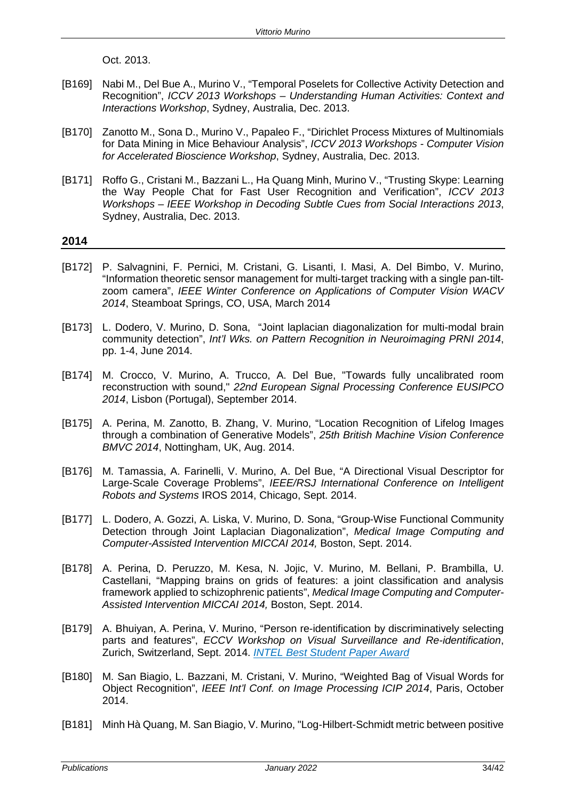Oct. 2013.

- [B169] Nabi M., Del Bue A., Murino V., "Temporal Poselets for Collective Activity Detection and Recognition", *ICCV 2013 Workshops – Understanding Human Activities: Context and Interactions Workshop*, Sydney, Australia, Dec. 2013.
- [B170] Zanotto M., Sona D., Murino V., Papaleo F., "Dirichlet Process Mixtures of Multinomials for Data Mining in Mice Behaviour Analysis", *ICCV 2013 Workshops - Computer Vision for Accelerated Bioscience Workshop*, Sydney, Australia, Dec. 2013.
- [B171] Roffo G., Cristani M., Bazzani L., Ha Quang Minh, Murino V., "Trusting Skype: Learning the Way People Chat for Fast User Recognition and Verification", *ICCV 2013 Workshops – IEEE Workshop in Decoding Subtle Cues from Social Interactions 2013*, Sydney, Australia, Dec. 2013.

- [B172] P. Salvagnini, F. Pernici, M. Cristani, G. Lisanti, I. Masi, A. Del Bimbo, V. Murino, "Information theoretic sensor management for multi-target tracking with a single pan-tiltzoom camera", *IEEE Winter Conference on Applications of Computer Vision WACV 2014*, Steamboat Springs, CO, USA, March 2014
- [B173] L. Dodero, V. Murino, D. Sona, "Joint laplacian diagonalization for multi-modal brain community detection", *Int'l Wks. on Pattern Recognition in Neuroimaging PRNI 2014*, pp. 1-4, June 2014.
- [B174] M. Crocco, V. Murino, A. Trucco, A. Del Bue, "Towards fully uncalibrated room reconstruction with sound," *22nd European Signal Processing Conference EUSIPCO 2014*, Lisbon (Portugal), September 2014.
- [B175] A. Perina, M. Zanotto, B. Zhang, V. Murino, "Location Recognition of Lifelog Images through a combination of Generative Models", *25th British Machine Vision Conference BMVC 2014*, Nottingham, UK, Aug. 2014.
- [B176] M. Tamassia, A. Farinelli, V. Murino, A. Del Bue, "A Directional Visual Descriptor for Large-Scale Coverage Problems", *IEEE/RSJ International Conference on Intelligent Robots and Systems* IROS 2014, Chicago, Sept. 2014.
- [B177] L. Dodero, A. Gozzi, A. Liska, V. Murino, D. Sona, "Group-Wise Functional Community Detection through Joint Laplacian Diagonalization", *Medical Image Computing and Computer-Assisted Intervention MICCAI 2014,* Boston, Sept. 2014.
- [B178] A. Perina, D. Peruzzo, M. Kesa, N. Jojic, V. Murino, M. Bellani, P. Brambilla, U. Castellani, "Mapping brains on grids of features: a joint classification and analysis framework applied to schizophrenic patients", *Medical Image Computing and Computer-Assisted Intervention MICCAI 2014,* Boston, Sept. 2014.
- [B179] A. Bhuiyan, A. Perina, V. Murino, "Person re-identification by discriminatively selecting parts and features", *ECCV Workshop on Visual Surveillance and Re-identification*, Zurich, Switzerland, Sept. 2014. *INTEL Best Student Paper Award*
- [B180] M. San Biagio, L. Bazzani, M. Cristani, V. Murino, "Weighted Bag of Visual Words for Object Recognition", *IEEE Int'l Conf. on Image Processing ICIP 2014*, Paris, October 2014.
- [B181] Minh Hà Quang, M. San Biagio, V. Murino, "Log-Hilbert-Schmidt metric between positive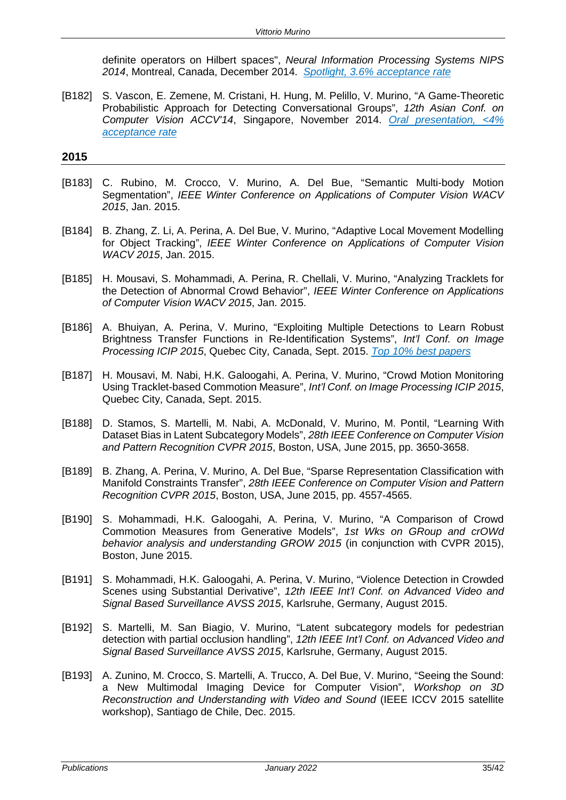definite operators on Hilbert spaces", *Neural Information Processing Systems NIPS 2014*, Montreal, Canada, December 2014. *Spotlight, 3.6% acceptance rate*

[B182] S. Vascon, E. Zemene, M. Cristani, H. Hung, M. Pelillo, V. Murino, "A Game-Theoretic Probabilistic Approach for Detecting Conversational Groups", *12th Asian Conf. on Computer Vision ACCV'14*, Singapore, November 2014. *Oral presentation, <4% acceptance rate*

- [B183] C. Rubino, M. Crocco, V. Murino, A. Del Bue, "Semantic Multi-body Motion Segmentation", *IEEE Winter Conference on Applications of Computer Vision WACV 2015*, Jan. 2015.
- [B184] B. Zhang, Z. Li, A. Perina, A. Del Bue, V. Murino, "Adaptive Local Movement Modelling for Object Tracking", *IEEE Winter Conference on Applications of Computer Vision WACV 2015*, Jan. 2015.
- [B185] H. Mousavi, S. Mohammadi, A. Perina, R. Chellali, V. Murino, "Analyzing Tracklets for the Detection of Abnormal Crowd Behavior", *IEEE Winter Conference on Applications of Computer Vision WACV 2015*, Jan. 2015.
- [B186] A. Bhuiyan, A. Perina, V. Murino, "Exploiting Multiple Detections to Learn Robust Brightness Transfer Functions in Re-Identification Systems", *Int'l Conf. on Image Processing ICIP 2015*, Quebec City, Canada, Sept. 2015. *Top 10% best papers*
- [B187] H. Mousavi, M. Nabi, H.K. Galoogahi, A. Perina, V. Murino, "Crowd Motion Monitoring Using Tracklet-based Commotion Measure", *Int'l Conf. on Image Processing ICIP 2015*, Quebec City, Canada, Sept. 2015.
- [B188] D. Stamos, S. Martelli, M. Nabi, A. McDonald, V. Murino, M. Pontil, "Learning With Dataset Bias in Latent Subcategory Models", *28th IEEE Conference on Computer Vision and Pattern Recognition CVPR 2015*, Boston, USA, June 2015, pp. 3650-3658.
- [B189] B. Zhang, A. Perina, V. Murino, A. Del Bue, "Sparse Representation Classification with Manifold Constraints Transfer", *28th IEEE Conference on Computer Vision and Pattern Recognition CVPR 2015*, Boston, USA, June 2015, pp. 4557-4565.
- [B190] S. Mohammadi, H.K. Galoogahi, A. Perina, V. Murino, "A Comparison of Crowd Commotion Measures from Generative Models", *1st Wks on GRoup and crOWd behavior analysis and understanding GROW 2015* (in conjunction with CVPR 2015), Boston, June 2015.
- [B191] S. Mohammadi, H.K. Galoogahi, A. Perina, V. Murino, "Violence Detection in Crowded Scenes using Substantial Derivative", *12th IEEE Int'l Conf. on Advanced Video and Signal Based Surveillance AVSS 2015*, Karlsruhe, Germany, August 2015.
- [B192] S. Martelli, M. San Biagio, V. Murino, "Latent subcategory models for pedestrian detection with partial occlusion handling", *12th IEEE Int'l Conf. on Advanced Video and Signal Based Surveillance AVSS 2015*, Karlsruhe, Germany, August 2015.
- [B193] A. Zunino, M. Crocco, S. Martelli, A. Trucco, A. Del Bue, V. Murino, "Seeing the Sound: a New Multimodal Imaging Device for Computer Vision", *Workshop on 3D Reconstruction and Understanding with Video and Sound* (IEEE ICCV 2015 satellite workshop), Santiago de Chile, Dec. 2015.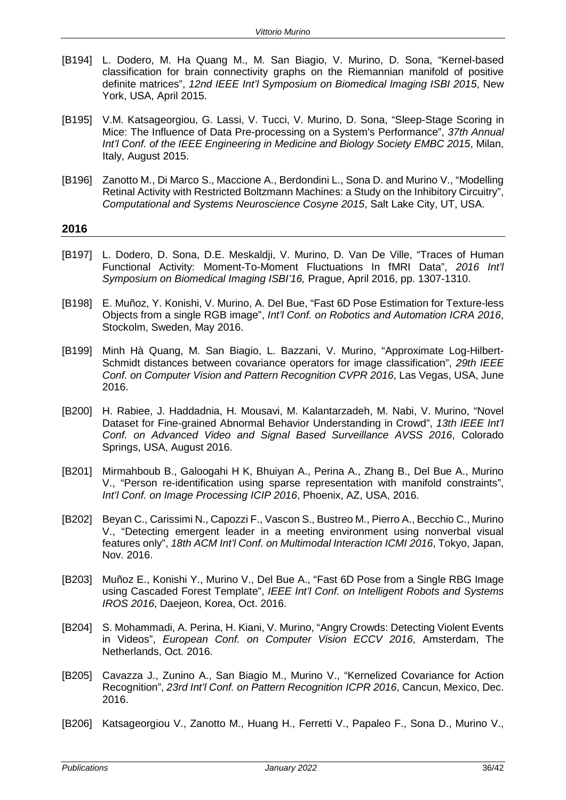- [B194] L. Dodero, M. Ha Quang M., M. San Biagio, V. Murino, D. Sona, "Kernel-based classification for brain connectivity graphs on the Riemannian manifold of positive definite matrices", *12nd IEEE Int'l Symposium on Biomedical Imaging ISBI 2015*, New York, USA, April 2015.
- [B195] V.M. Katsageorgiou, G. Lassi, V. Tucci, V. Murino, D. Sona, "Sleep-Stage Scoring in Mice: The Influence of Data Pre-processing on a System's Performance", *37th Annual Int'l Conf. of the IEEE Engineering in Medicine and Biology Society EMBC 2015*, Milan, Italy, August 2015.
- [B196] Zanotto M., Di Marco S., Maccione A., Berdondini L., Sona D. and Murino V., "Modelling Retinal Activity with Restricted Boltzmann Machines: a Study on the Inhibitory Circuitry", *Computational and Systems Neuroscience Cosyne 2015*, Salt Lake City, UT, USA.

- [B197] L. Dodero, D. Sona, D.E. Meskaldji, V. Murino, D. Van De Ville, "Traces of Human Functional Activity: Moment-To-Moment Fluctuations In fMRI Data", *2016 Int'l Symposium on Biomedical Imaging ISBI'16,* Prague, April 2016, pp. 1307-1310.
- [B198] E. Muñoz, Y. Konishi, V. Murino, A. Del Bue, "Fast 6D Pose Estimation for Texture-less Objects from a single RGB image", *Int'l Conf. on Robotics and Automation ICRA 2016*, Stockolm, Sweden, May 2016.
- [B199] Minh Hà Quang, M. San Biagio, L. Bazzani, V. Murino, "Approximate Log-Hilbert-Schmidt distances between covariance operators for image classification", *29th IEEE Conf. on Computer Vision and Pattern Recognition CVPR 2016*, Las Vegas, USA, June 2016.
- [B200] H. Rabiee, J. Haddadnia, H. Mousavi, M. Kalantarzadeh, M. Nabi, V. Murino, "Novel Dataset for Fine-grained Abnormal Behavior Understanding in Crowd", *13th IEEE Int'l Conf. on Advanced Video and Signal Based Surveillance AVSS 2016*, Colorado Springs, USA, August 2016.
- [B201] Mirmahboub B., Galoogahi H K, Bhuiyan A., Perina A., Zhang B., Del Bue A., Murino V., "Person re-identification using sparse representation with manifold constraints", *Int'l Conf. on Image Processing ICIP 2016*, Phoenix, AZ, USA, 2016.
- [B202] Beyan C., Carissimi N., Capozzi F., Vascon S., Bustreo M., Pierro A., Becchio C., Murino V., "Detecting emergent leader in a meeting environment using nonverbal visual features only", *18th ACM Int'l Conf. on Multimodal Interaction ICMI 2016*, Tokyo, Japan, Nov. 2016.
- [B203] Muñoz E., Konishi Y., Murino V., Del Bue A., "Fast 6D Pose from a Single RBG Image using Cascaded Forest Template", *IEEE Int'l Conf. on Intelligent Robots and Systems IROS 2016*, Daejeon, Korea, Oct. 2016.
- [B204] S. Mohammadi, A. Perina, H. Kiani, V. Murino, "Angry Crowds: Detecting Violent Events in Videos", *European Conf. on Computer Vision ECCV 2016*, Amsterdam, The Netherlands, Oct. 2016.
- [B205] Cavazza J., Zunino A., San Biagio M., Murino V., "Kernelized Covariance for Action Recognition", *23rd Int'l Conf. on Pattern Recognition ICPR 2016*, Cancun, Mexico, Dec. 2016.
- [B206] Katsageorgiou V., Zanotto M., Huang H., Ferretti V., Papaleo F., Sona D., Murino V.,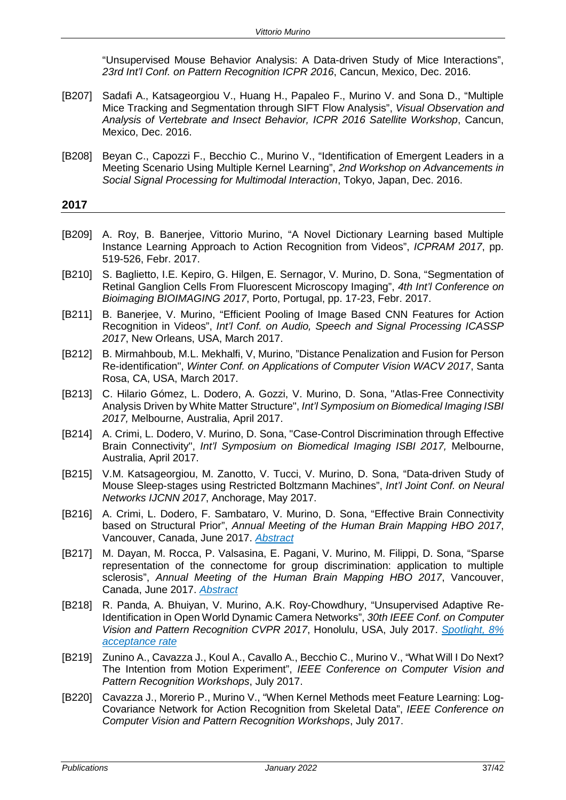"Unsupervised Mouse Behavior Analysis: A Data-driven Study of Mice Interactions", *23rd Int'l Conf. on Pattern Recognition ICPR 2016*, Cancun, Mexico, Dec. 2016.

- [B207] Sadafi A., Katsageorgiou V., Huang H., Papaleo F., Murino V. and Sona D., "Multiple Mice Tracking and Segmentation through SIFT Flow Analysis", *Visual Observation and Analysis of Vertebrate and Insect Behavior, ICPR 2016 Satellite Workshop*, Cancun, Mexico, Dec. 2016.
- [B208] Beyan C., Capozzi F., Becchio C., Murino V., "Identification of Emergent Leaders in a Meeting Scenario Using Multiple Kernel Learning", *2nd Workshop on Advancements in Social Signal Processing for Multimodal Interaction*, Tokyo, Japan, Dec. 2016.

- [B209] A. Roy, B. Banerjee, Vittorio Murino, "A Novel Dictionary Learning based Multiple Instance Learning Approach to Action Recognition from Videos", *ICPRAM 2017*, pp. 519-526, Febr. 2017.
- [B210] S. Baglietto, I.E. Kepiro, G. Hilgen, E. Sernagor, V. Murino, D. Sona, "Segmentation of Retinal Ganglion Cells From Fluorescent Microscopy Imaging", *4th Int'l Conference on Bioimaging BIOIMAGING 2017*, Porto, Portugal, pp. 17-23, Febr. 2017.
- [B211] B. Banerjee, V. Murino, "Efficient Pooling of Image Based CNN Features for Action Recognition in Videos", *Int'l Conf. on Audio, Speech and Signal Processing ICASSP 2017*, New Orleans, USA, March 2017.
- [B212] B. Mirmahboub, M.L. Mekhalfi, V, Murino, "Distance Penalization and Fusion for Person Re-identification", *Winter Conf. on Applications of Computer Vision WACV 2017*, Santa Rosa, CA, USA, March 2017.
- [B213] C. Hilario Gómez, L. Dodero, A. Gozzi, V. Murino, D. Sona, "Atlas-Free Connectivity Analysis Driven by White Matter Structure", *Int'l Symposium on Biomedical Imaging ISBI 2017,* Melbourne, Australia, April 2017.
- [B214] A. Crimi, L. Dodero, V. Murino, D. Sona, "Case-Control Discrimination through Effective Brain Connectivity", *Int'l Symposium on Biomedical Imaging ISBI 2017,* Melbourne, Australia, April 2017.
- [B215] V.M. Katsageorgiou, M. Zanotto, V. Tucci, V. Murino, D. Sona, "Data-driven Study of Mouse Sleep-stages using Restricted Boltzmann Machines", *Int'l Joint Conf. on Neural Networks IJCNN 2017*, Anchorage, May 2017.
- [B216] A. Crimi, L. Dodero, F. Sambataro, V. Murino, D. Sona, "Effective Brain Connectivity based on Structural Prior", *Annual Meeting of the Human Brain Mapping HBO 2017*, Vancouver, Canada, June 2017. *Abstract*
- [B217] M. Dayan, M. Rocca, P. Valsasina, E. Pagani, V. Murino, M. Filippi, D. Sona, "Sparse representation of the connectome for group discrimination: application to multiple sclerosis", *Annual Meeting of the Human Brain Mapping HBO 2017*, Vancouver, Canada, June 2017. *Abstract*
- [B218] R. Panda, A. Bhuiyan, V. Murino, A.K. Roy-Chowdhury, "Unsupervised Adaptive Re-Identification in Open World Dynamic Camera Networks", *30th IEEE Conf. on Computer Vision and Pattern Recognition CVPR 2017*, Honolulu, USA, July 2017. *Spotlight, 8% acceptance rate*
- [B219] Zunino A., [Cavazza J.,](https://scientilla.iit.it/#/users/585) Koul A., Cavallo A., Becchio C., Murino V., "What Will I Do Next? The Intention from Motion Experiment", *IEEE Conference on Computer Vision and Pattern Recognition Workshops*, July 2017.
- [B220] Cavazza J., Morerio P., Murino V., "When Kernel Methods meet Feature Learning: Log-Covariance Network for Action Recognition from Skeletal Data", *IEEE Conference on Computer Vision and Pattern Recognition Workshops*, July 2017.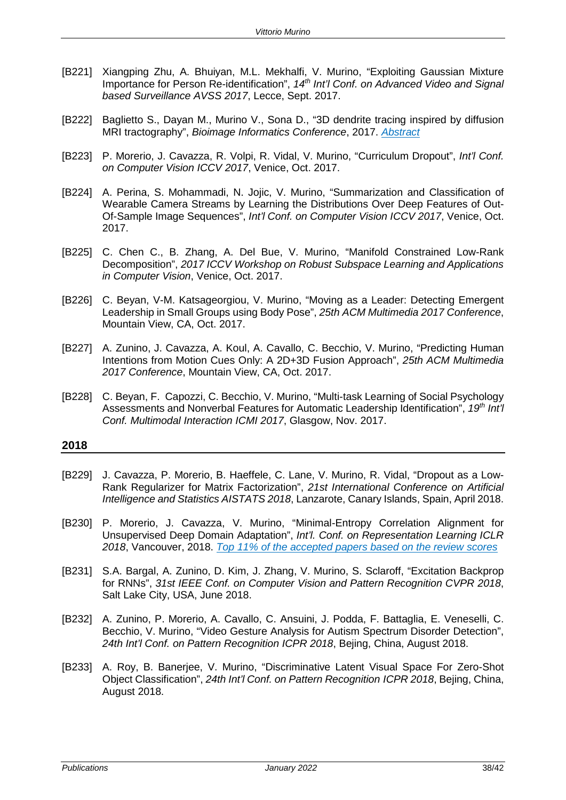- [B221] Xiangping Zhu, A. Bhuiyan, M.L. Mekhalfi, V. Murino, "Exploiting Gaussian Mixture Importance for Person Re-identification", *14th Int'l Conf. on Advanced Video and Signal based Surveillance AVSS 2017*, Lecce, Sept. 2017.
- [B222] Baglietto S., Dayan M., Murino V., Sona D., "3D dendrite tracing inspired by diffusion MRI tractography", *Bioimage Informatics Conference*, 2017. *Abstract*
- [B223] P. Morerio, J. Cavazza, R. Volpi, R. Vidal, V. Murino, "Curriculum Dropout", *Int'l Conf. on Computer Vision ICCV 2017*, Venice, Oct. 2017.
- [B224] A. Perina, S. Mohammadi, N. Jojic, V. Murino, "Summarization and Classification of Wearable Camera Streams by Learning the Distributions Over Deep Features of Out-Of-Sample Image Sequences", *Int'l Conf. on Computer Vision ICCV 2017*, Venice, Oct. 2017.
- [B225] C. Chen C., B. Zhang, A. Del Bue, V. Murino, "Manifold Constrained Low-Rank Decomposition", *2017 ICCV Workshop on Robust Subspace Learning and Applications in Computer Vision*, Venice, Oct. 2017.
- [B226] C. Beyan, V-M. Katsageorgiou, V. Murino, "Moving as a Leader: Detecting Emergent Leadership in Small Groups using Body Pose", *25th ACM Multimedia 2017 Conference*, Mountain View, CA, Oct. 2017.
- [B227] A. Zunino, J. Cavazza, A. Koul, A. Cavallo, C. Becchio, V. Murino, "Predicting Human Intentions from Motion Cues Only: A 2D+3D Fusion Approach", *25th ACM Multimedia 2017 Conference*, Mountain View, CA, Oct. 2017.
- [B228] C. Beyan, F. Capozzi, C. Becchio, V. Murino, "Multi-task Learning of Social Psychology Assessments and Nonverbal Features for Automatic Leadership Identification", *19th Int'l Conf. Multimodal Interaction ICMI 2017*, Glasgow, Nov. 2017.

- [B229] J. Cavazza, P. Morerio, B. Haeffele, C. Lane, V. Murino, R. Vidal, "Dropout as a Low-Rank Regularizer for Matrix Factorization", *21st International Conference on Artificial Intelligence and Statistics AISTATS 2018*, Lanzarote, Canary Islands, Spain, April 2018.
- [B230] P. Morerio, J. Cavazza, V. Murino, "Minimal-Entropy Correlation Alignment for Unsupervised Deep Domain Adaptation", *Int'l. Conf. on Representation Learning ICLR 2018*, Vancouver, 2018. *Top 11% of the accepted papers based on the review scores*
- [B231] S.A. Bargal, A. Zunino, D. Kim, J. Zhang, V. Murino, S. Sclaroff, "Excitation Backprop for RNNs", *31st IEEE Conf. on Computer Vision and Pattern Recognition CVPR 2018*, Salt Lake City, USA, June 2018.
- [B232] A. Zunino, P. Morerio, A. Cavallo, C. Ansuini, J. Podda, F. Battaglia, E. Veneselli, C. Becchio, V. Murino, "Video Gesture Analysis for Autism Spectrum Disorder Detection", *24th Int'l Conf. on Pattern Recognition ICPR 2018*, Bejing, China, August 2018.
- [B233] A. Roy, B. Banerjee, V. Murino, "Discriminative Latent Visual Space For Zero-Shot Object Classification", *24th Int'l Conf. on Pattern Recognition ICPR 2018*, Bejing, China, August 2018.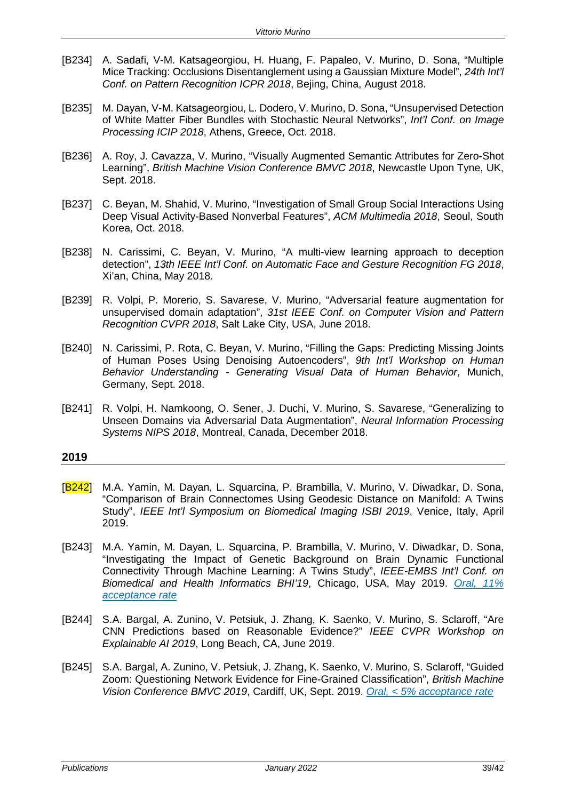- [B234] A. Sadafi, V-M. Katsageorgiou, H. Huang, F. Papaleo, V. Murino, D. Sona, "Multiple Mice Tracking: Occlusions Disentanglement using a Gaussian Mixture Model", *24th Int'l Conf. on Pattern Recognition ICPR 2018*, Bejing, China, August 2018.
- [B235] M. Dayan, V-M. Katsageorgiou, L. Dodero, V. Murino, D. Sona, "Unsupervised Detection of White Matter Fiber Bundles with Stochastic Neural Networks", *Int'l Conf. on Image Processing ICIP 2018*, Athens, Greece, Oct. 2018.
- [B236] A. Roy, J. Cavazza, V. Murino, "Visually Augmented Semantic Attributes for Zero-Shot Learning", *British Machine Vision Conference BMVC 2018*, Newcastle Upon Tyne, UK, Sept. 2018.
- [B237] C. Beyan, M. Shahid, V. Murino, "Investigation of Small Group Social Interactions Using Deep Visual Activity-Based Nonverbal Features", *ACM Multimedia 2018*, Seoul, South Korea, Oct. 2018.
- [B238] N. Carissimi, C. Beyan, V. Murino, "A multi-view learning approach to deception detection", *13th IEEE Int'l Conf. on Automatic Face and Gesture Recognition FG 2018*, Xi'an, China, May 2018.
- [B239] R. Volpi, P. Morerio, S. Savarese, V. Murino, "Adversarial feature augmentation for unsupervised domain adaptation", *31st IEEE Conf. on Computer Vision and Pattern Recognition CVPR 2018*, Salt Lake City, USA, June 2018.
- [B240] N. Carissimi, P. Rota, C. Beyan, V. Murino, "Filling the Gaps: Predicting Missing Joints of Human Poses Using Denoising Autoencoders", *9th Int'l Workshop on Human Behavior Understanding - Generating Visual Data of Human Behavior*, Munich, Germany, Sept. 2018.
- [B241] R. Volpi, H. Namkoong, O. Sener, J. Duchi, V. Murino, S. Savarese, "Generalizing to Unseen Domains via Adversarial Data Augmentation", *Neural Information Processing Systems NIPS 2018*, Montreal, Canada, December 2018.

- [B242] M.A. Yamin, M. Dayan, L. Squarcina, P. Brambilla, V. Murino, V. Diwadkar, D. Sona, "Comparison of Brain Connectomes Using Geodesic Distance on Manifold: A Twins Study", *IEEE Int'l Symposium on Biomedical Imaging ISBI 2019*, Venice, Italy, April 2019.
- [B243] M.A. Yamin, M. Dayan, L. Squarcina, P. Brambilla, V. Murino, V. Diwadkar, D. Sona, "Investigating the Impact of Genetic Background on Brain Dynamic Functional Connectivity Through Machine Learning: A Twins Study", *IEEE-EMBS Int'l Conf. on Biomedical and Health Informatics BHI'19*, Chicago, USA, May 2019. *Oral, 11% acceptance rate*
- [B244] S.A. Bargal, A. Zunino, V. Petsiuk, J. Zhang, K. Saenko, V. Murino, S. Sclaroff, "Are CNN Predictions based on Reasonable Evidence?" *IEEE CVPR Workshop on Explainable AI 2019*, Long Beach, CA, June 2019.
- [B245] S.A. Bargal, A. Zunino, V. Petsiuk, J. Zhang, K. Saenko, V. Murino, S. Sclaroff, "Guided Zoom: Questioning Network Evidence for Fine-Grained Classification", *British Machine Vision Conference BMVC 2019*, Cardiff, UK, Sept. 2019. *Oral, < 5% acceptance rate*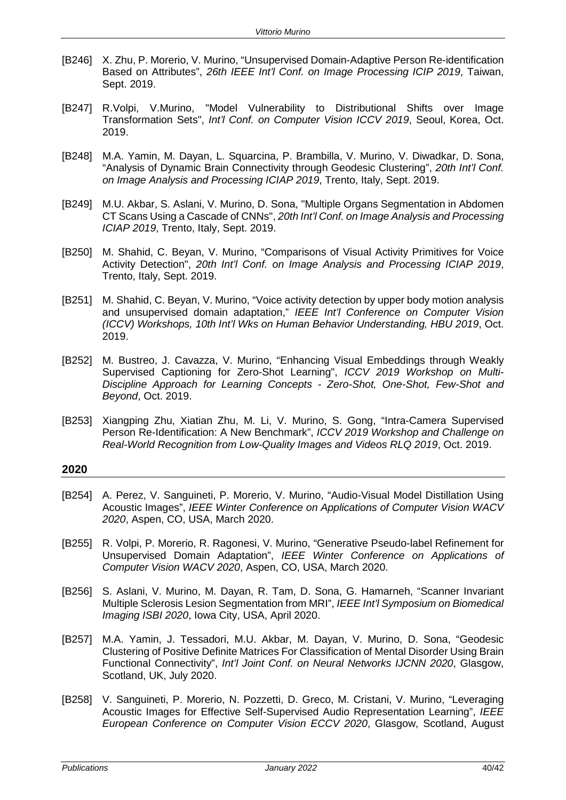- [B246] X. Zhu, P. Morerio, V. Murino, "Unsupervised Domain-Adaptive Person Re-identification Based on Attributes", *26th IEEE Int'l Conf. on Image Processing ICIP 2019*, Taiwan, Sept. 2019.
- [B247] R.Volpi, V.Murino, "Model Vulnerability to Distributional Shifts over Image Transformation Sets", *Int'l Conf. on Computer Vision ICCV 2019*, Seoul, Korea, Oct. 2019.
- [B248] M.A. Yamin, M. Dayan, L. Squarcina, P. Brambilla, V. Murino, V. Diwadkar, D. Sona, "Analysis of Dynamic Brain Connectivity through Geodesic Clustering", *20th Int'l Conf. on Image Analysis and Processing ICIAP 2019*, Trento, Italy, Sept. 2019.
- [B249] M.U. Akbar, S. Aslani, V. Murino, D. Sona, "Multiple Organs Segmentation in Abdomen CT Scans Using a Cascade of CNNs", *20th Int'l Conf. on Image Analysis and Processing ICIAP 2019*, Trento, Italy, Sept. 2019.
- [B250] M. Shahid, C. Beyan, V. Murino, "Comparisons of Visual Activity Primitives for Voice Activity Detection", *20th Int'l Conf. on Image Analysis and Processing ICIAP 2019*, Trento, Italy, Sept. 2019.
- [B251] M. Shahid, C. Beyan, V. Murino, "Voice activity detection by upper body motion analysis and unsupervised domain adaptation," *IEEE Int'l Conference on Computer Vision (ICCV) Workshops, 10th Int'l Wks on Human Behavior Understanding, HBU 2019*, Oct. 2019.
- [B252] M. Bustreo, J. Cavazza, V. Murino, "Enhancing Visual Embeddings through Weakly Supervised Captioning for Zero-Shot Learning", *ICCV 2019 Workshop on Multi-Discipline Approach for Learning Concepts - Zero-Shot, One-Shot, Few-Shot and Beyond*, Oct. 2019.
- [B253] Xiangping Zhu, Xiatian Zhu, M. Li, V. Murino, S. Gong, "Intra-Camera Supervised Person Re-Identification: A New Benchmark", *ICCV 2019 Workshop and Challenge on Real-World Recognition from Low-Quality Images and Videos RLQ 2019*, Oct. 2019.

- [B254] A. Perez, V. Sanguineti, P. Morerio, V. Murino, "Audio-Visual Model Distillation Using Acoustic Images", *IEEE Winter Conference on Applications of Computer Vision WACV 2020*, Aspen, CO, USA, March 2020.
- [B255] R. Volpi, P. Morerio, R. Ragonesi, V. Murino, "Generative Pseudo-label Refinement for Unsupervised Domain Adaptation", *IEEE Winter Conference on Applications of Computer Vision WACV 2020*, Aspen, CO, USA, March 2020.
- [B256] S. Aslani, V. Murino, M. Dayan, R. Tam, D. Sona, G. Hamarneh, "Scanner Invariant Multiple Sclerosis Lesion Segmentation from MRI", *IEEE Int'l Symposium on Biomedical Imaging ISBI 2020*, Iowa City, USA, April 2020.
- [B257] M.A. Yamin, J. Tessadori, M.U. Akbar, M. Dayan, V. Murino, D. Sona, "Geodesic Clustering of Positive Definite Matrices For Classification of Mental Disorder Using Brain Functional Connectivity", *Int'l Joint Conf. on Neural Networks IJCNN 2020*, Glasgow, Scotland, UK, July 2020.
- [B258] V. Sanguineti, P. Morerio, N. Pozzetti, D. Greco, M. Cristani, V. Murino, "Leveraging Acoustic Images for Effective Self-Supervised Audio Representation Learning", *IEEE European Conference on Computer Vision ECCV 2020*, Glasgow, Scotland, August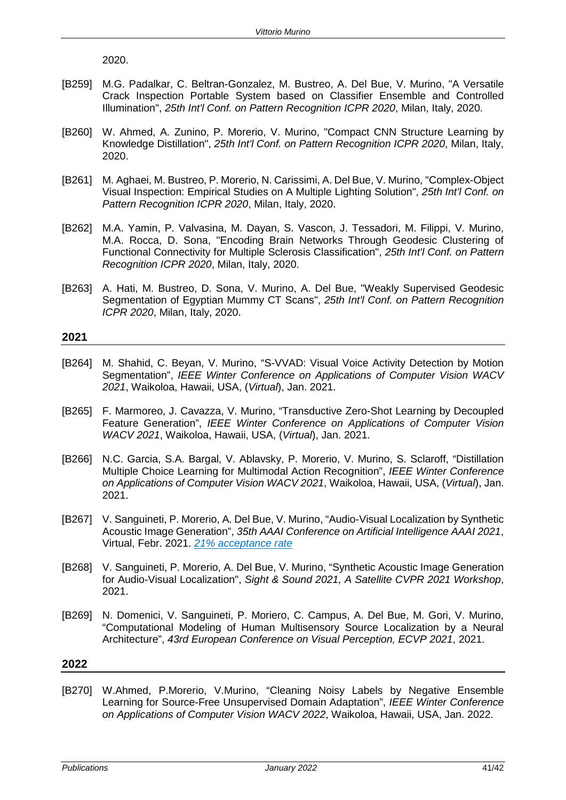2020.

- [B259] M.G. Padalkar, C. Beltran-Gonzalez, M. Bustreo, A. Del Bue, V. Murino, "A Versatile Crack Inspection Portable System based on Classifier Ensemble and Controlled Illumination", *25th Int'l Conf. on Pattern Recognition ICPR 2020*, Milan, Italy, 2020.
- [B260] W. Ahmed, A. Zunino, P. Morerio, V. Murino, "Compact CNN Structure Learning by Knowledge Distillation", *25th Int'l Conf. on Pattern Recognition ICPR 2020*, Milan, Italy, 2020.
- [B261] M. Aghaei, M. Bustreo, P. Morerio, N. Carissimi, A. Del Bue, V. Murino, "Complex-Object Visual Inspection: Empirical Studies on A Multiple Lighting Solution", *25th Int'l Conf. on Pattern Recognition ICPR 2020*, Milan, Italy, 2020.
- [B262] M.A. Yamin, P. Valvasina, M. Dayan, S. Vascon, J. Tessadori, M. Filippi, V. Murino, M.A. Rocca, D. Sona, "Encoding Brain Networks Through Geodesic Clustering of Functional Connectivity for Multiple Sclerosis Classification", *25th Int'l Conf. on Pattern Recognition ICPR 2020*, Milan, Italy, 2020.
- [B263] A. Hati, M. Bustreo, D. Sona, V. Murino, A. Del Bue, "Weakly Supervised Geodesic Segmentation of Egyptian Mummy CT Scans", *25th Int'l Conf. on Pattern Recognition ICPR 2020*, Milan, Italy, 2020.

# **2021**

- [B264] M. Shahid, C. Beyan, V. Murino, "S-VVAD: Visual Voice Activity Detection by Motion Segmentation", *IEEE Winter Conference on Applications of Computer Vision WACV 2021*, Waikoloa, Hawaii, USA, (*Virtual*), Jan. 2021.
- [B265] F. Marmoreo, J. Cavazza, V. Murino, "Transductive Zero-Shot Learning by Decoupled Feature Generation", *IEEE Winter Conference on Applications of Computer Vision WACV 2021*, Waikoloa, Hawaii, USA, (*Virtual*), Jan. 2021.
- [B266] N.C. Garcia, S.A. Bargal, V. Ablavsky, P. Morerio, V. Murino, S. Sclaroff, "Distillation Multiple Choice Learning for Multimodal Action Recognition", *IEEE Winter Conference on Applications of Computer Vision WACV 2021*, Waikoloa, Hawaii, USA, (*Virtual*), Jan. 2021.
- [B267] V. Sanguineti, P. Morerio, A. Del Bue, V. Murino, "Audio-Visual Localization by Synthetic Acoustic Image Generation", *35th AAAI Conference on Artificial Intelligence AAAI 2021*, Virtual, Febr. 2021. *21% acceptance rate*
- [B268] V. Sanguineti, P. Morerio, A. Del Bue, V. Murino, "Synthetic Acoustic Image Generation for Audio-Visual Localization", *Sight & Sound 2021, A Satellite CVPR 2021 Workshop*, 2021.
- [B269] N. Domenici, V. Sanguineti, P. Moriero, C. Campus, A. Del Bue, M. Gori, V. Murino, "Computational Modeling of Human Multisensory Source Localization by a Neural Architecture", *43rd European Conference on Visual Perception, ECVP 2021*, 2021.

# **2022**

[B270] W.Ahmed, P.Morerio, V.Murino, "Cleaning Noisy Labels by Negative Ensemble Learning for Source-Free Unsupervised Domain Adaptation", *IEEE Winter Conference on Applications of Computer Vision WACV 2022*, Waikoloa, Hawaii, USA, Jan. 2022.